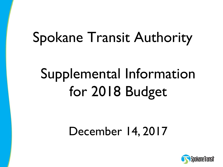# Spokane Transit Authority

# Supplemental Information for 2018 Budget

### December 14, 2017

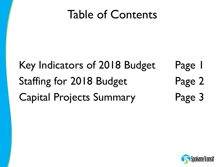### Table of Contents

## Key Indicators of 2018 Budget Page 1 Staffing for 2018 Budget Page 2 Capital Projects Summary Page 3

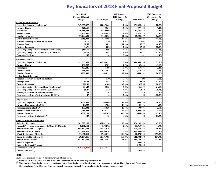#### **Key Indicators of 2018 Final Proposed Budget**

|                                                      | 2018 Final             |                | 2018 Budget vs. |              | 2018 Budget vs. |
|------------------------------------------------------|------------------------|----------------|-----------------|--------------|-----------------|
|                                                      | <b>Proposed Budget</b> |                | 2017 Budget %   |              | 2016 Actual %   |
|                                                      | <b>Budget</b>          | 2017 Budget    | Change          | 2016 Actual  | Change          |
| <b>Fixed Route Bus Service</b>                       |                        |                |                 |              |                 |
| <b>Operating Expense (Unallocated)</b>               | \$47,657,075           | \$44,473,641   | 7.2%            | \$39,499,410 | 20.7%           |
| <b>Revenue Hours</b>                                 | 426,689                | 408,312        | 4.5%            | 397,122      | 7.4%            |
| Passengers                                           | 10,415,743             | 10,400,000     | 0.2%            | 10,261,816   | 1.5%            |
| <b>Revenue Miles</b>                                 | 5,874,950              | 5,648,434      | 4.0%            | 5,477,713    | 7.3%            |
| <b>Farebox Revenue</b>                               | \$9,194,699            | \$8,258,306    | 11.3%           | \$7,920,677  | 16.1%           |
| <b>Other Transit Revenue</b>                         | \$215,001              | \$424,000      | $-49.3%$        | \$383,697    | $-44.0%$        |
| <b>Farebox Recovery Ratio (Unallocated)</b>          | 19.3%                  | 18.6%          | 3.9%            | 20.1%        | $-3.8%$         |
| <b>Average Fare</b>                                  | \$0.88                 | \$0.79         | 11.2%           | \$0.77       | 14.4%           |
| <b>Cost per Passenger</b>                            | \$4.58                 | \$4.28         | 7.0%            | \$3.85       | 18.9%           |
| <b>Operating Cost per Revenue Hour (Unallocated)</b> | \$111.69               | \$108.92       | 2.5%            | \$99.46      | 12.3%           |
| <b>Operating Cost per Revenue Mile (Unallocated)</b> | \$8.11                 | \$7.87         | 3.0%            | \$7.21       | 12.5%           |
| <b>Passenger Vehicles</b>                            | 143                    | 143            | $0.0\%$         | 141          | 1.4%            |
| Paratransit Service                                  |                        |                |                 |              |                 |
| <b>Operating Expense (Unallocated)</b>               | \$13,557,551           | \$12,839,957   | 5.6%            | \$11,049,985 | 22.7%           |
| <b>Revenue Hours</b>                                 | 160,583                | 157,821        | 1.7%            | 162,433      | $-1.1\%$        |
| <b>Passengers</b>                                    | 477,446                | 441,898        | 8.0%            | 467,286      | 2.2%            |
| <b>Revenue Miles</b>                                 | 2,468,470              | 2,426,015      | 1.8%            | 2,515,454    | $-1.9\%$        |
| Farebox Revenue                                      | \$780,890              | \$694,353      | 12.5%           | \$648,282    | 20.5%           |
| <b>Other Transit Revenue</b>                         |                        |                |                 |              |                 |
| <b>Farebox Recovery Ratio (Unallocated)</b>          | 5.8%                   | 5.4%           | 6.5%            | 5.9%         | $-1.8%$         |
| <b>Average Fare</b>                                  | \$1.64                 | \$1.57         | 4.1%            | \$1.39       | 17.9%           |
| <b>Cost per Passenger</b>                            | \$28.40                | \$29.06        | $-2.3%$         | \$23.65      | 20.1%           |
| <b>Operating Cost per Revenue Hour (Unallocated)</b> | \$84.43                | \$81.36        | 3.8%            | \$68.03      | 24.1%           |
| <b>Operating Cost per Revenue Mile (Unallocated)</b> | \$5.49                 | \$5.29         | 3.8%            | \$4.39       | 25.0%           |
| <b>Passenger Vehicles (Directly Operated)</b>        | 68                     | 68             | $0.0\%$         | 70           | $-2.9%$         |
| Passenger Vehicles (Contracted)(exc. 11 SUV)         | 45                     | 44             | 2.3%            | 55           | $-18.2%$        |
| <b>Vanpool Service</b>                               |                        |                |                 |              |                 |
| <b>Operating Expense (Unallocated)</b>               | \$674,009              | \$699,000      | $-3.6%$         | \$559,393    | 20.5%           |
| <b>Revenue Hours (excludes SUV)</b>                  | 29.933                 | 37,853         | $-20.9%$        | 31,196       | $-4.0%$         |
| Passengers (excludes SUV)                            | 197,831                | 248,294        | $-20.3%$        | 193,006      | 2.5%            |
| <b>Revenue Miles (excludes SUV)</b>                  | 1,015,558              | 1,261,384      | $-19.5%$        | 1,058,496    | $-4.1%$         |
| <b>Farebox Revenue</b>                               | \$539,261              | \$647,090      | $-16.7%$        | \$569,848    | $-5.4%$         |
| Passenger Vehicles (includes SUV)                    | 123                    | 134            | $-8.2%$         | 108          | 13.9%           |
| <b>Financial Summary Highlights</b>                  |                        |                |                 |              |                 |
| <b>Sales Tax Revenues</b>                            | \$63,590,163           | \$57,412,140   | 10.8%           | \$54,131,543 | 17.5%           |
| Federal Preventive Maintenance & Other Fed Grants    | 8,151,181              | 7,942,753      | 2.6%            | \$7,769,726  | 4.9%            |
| <b>Total Revenues (Exc. Capital)</b>                 | \$84,532,378           | \$77,330,393   | 9.3%            | \$73,232,265 | 15.4%           |
| <b>Total Operating Expense</b>                       | \$73,491,622           | \$69,059,203   | 6.4%            | \$59,803,004 | 22.9%           |
| <b>Fleet Replacement Allocation</b>                  | 11,862,311             | \$5,424,115    | 118.7%          | \$1,574,724  | 653.3%          |
| <b>Local Capital Investment (1)</b>                  | 29,154,416             | \$10,969,821   | 165.8%          | \$11,304,038 | 157.9%          |
| <b>Total Capital Expense</b>                         | \$43,532,304           | \$22,453,624   | 93.9%           | \$13,134,388 | 231.4%          |
| <b>Election Expenses</b>                             |                        |                |                 | \$69,410     |                 |
| <b>Cooperative Street Projects</b>                   |                        |                |                 | \$190,035    |                 |
| Decrease in Cash (2)                                 | (S29, 975, 971)        | (S8, 122, 746) |                 |              |                 |
| Increase in Cash (2)                                 |                        |                |                 | \$291,054    |                 |

**NOTE:**

**Unallocated expenses exclude Administrative and Plaza costs.** 

**(1) Includes FR and PT local portions of the fleet purchases out of the Fleet Replacement fund.**

**(2) Note that the Fleet Replacement is transferred to the Fleet Replacement Fund, a separate cash account to fund Fixed Route and Paratransit fleet purchases. The (Decrease)/Increase in cash represents the cash from the change in the primary cash account.**

1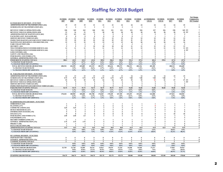#### **Staffing for 2018 Budget**

| 01 FIXED ROUTE DIVISION - FUNCTION                                                            | <b>FUNDED</b><br>2007      | <b>FUNDED</b><br>2008      | <b>FUNDED</b><br>2009        | <b>FUNDED</b><br>2010               | <b>FUNDED</b><br>2011         | <b>FUNDED</b><br>2012         | <b>FUNDED</b><br>2013      | <b>FUNDED</b><br>2014          | <b>FUNDED</b><br>2015               | <b>AUTHORIZED</b><br>1/01/16 | <b>FUNDED</b><br>1/01/16     | <b>FUNDED</b><br>2017          | <b>FUNDED</b><br>2018      | <b>Net Change</b><br><b>Compared to</b><br>2017 Funded |
|-----------------------------------------------------------------------------------------------|----------------------------|----------------------------|------------------------------|-------------------------------------|-------------------------------|-------------------------------|----------------------------|--------------------------------|-------------------------------------|------------------------------|------------------------------|--------------------------------|----------------------------|--------------------------------------------------------|
| <b>ADMINISTRATION OF TRANSPORTATION (010)</b><br><b>SCHEDULING OF TRANSPORTATION (021)</b>    | 19<br>$\overline{2}$       | 19<br>$\overline{2}$       | 19<br>$\overline{2}$         | 21<br>$\overline{2}$                | 21<br>$\overline{2}$          | 21<br>$\overline{2}$          | 24<br>$\overline{2}$       | 24<br>$\overline{2}$           | 24<br>$\mathbf{2}$                  | 24<br>$\overline{2}$         | 24<br>$\overline{2}$         | 24<br>3                        | 25<br>$\mathbf{3}$         |                                                        |
| <b>REVENUE VEHICLE OPERATIONS (030)</b>                                                       | 228                        | 245                        | 243                          | 240                                 | 221                           | 221                           | 221                        | 221                            | 226                                 | 227                          | 226                          | 238                            | 245 FT                     |                                                        |
| <b>REVENUE VEH ICLE OPERATIONS (030)</b>                                                      | 33                         | 34                         | 33                           | 32                                  | 28                            | 28                            | 28                         | 28                             | 28                                  | 28                           | 28                           | 28                             | 25 PT                      |                                                        |
| <b>ADMINISTRATION OF MAINTENANCE (041)</b>                                                    | 3.5                        | 4.5                        | 4.5                          | $\overline{\phantom{a}}$            | 5                             | -5                            | 5                          | $\sim$                         | 5                                   | 5                            | $\sim$                       | 5                              | $\overline{\phantom{a}}$   |                                                        |
| <b>FACILITIES ASST. MANAGER (042)</b>                                                         | 10                         | -0                         | $\theta$<br>13               | 13                                  | $\theta$<br>13                | $\theta$<br>12                | 12                         | $\theta$<br>12                 | $\mathbf{1}$<br>12                  | 12                           | -1<br>12                     | $\mathbf{1}$<br>12             | 13                         |                                                        |
| <b>SERVICE REVENUE VEHICLES (051)</b><br><b>INSPECTION/MAINTENANCE REVENUE VEHICLES (061)</b> | 39                         | 13<br>44                   | 44                           | 44                                  | 44                            | 42                            | 42                         | 41                             | 41                                  | 41                           | 41                           | 43                             | 46                         |                                                        |
| <b>MAINTENANCE BUILDINGS AND GROUNDS (124)</b>                                                | 19                         | 19                         | 19                           | 19                                  | 19                            | 19                            | 19                         | 20                             | 20                                  | 20                           | 20                           | 22                             | 24                         |                                                        |
| <b>FARE COLLECTION (150)</b>                                                                  |                            | $\mathcal{L}$              | $\overline{2}$               | $\overline{\mathbf{z}}$             | $\overline{\mathbf{z}}$       | $\overline{\phantom{a}}$      | $\overline{\mathbf{z}}$    | $\overline{\phantom{a}}$       | $\mathbf{Z}$                        | $\mathbf{Z}$                 | $\mathcal{L}$                | $\overline{2}$                 | $\overline{\mathbf{z}}$    |                                                        |
| <b>SECURITY (161)</b>                                                                         |                            |                            | -9                           | 10                                  | 10                            | 10                            | 10                         | 11                             | 11                                  | 13                           | 12                           | 13                             | 13                         |                                                        |
| TELE INFORMATION/CUSTOMER SERVICE (162)                                                       | 12                         | 11                         | 11                           | 11                                  | 11                            | 11                            | 12                         | 12                             | 12                                  | 12                           | 12                           | 12                             | 13 FT                      |                                                        |
| TELE INFORMATION/CUSTOMER SERVICE (162)                                                       |                            | $\overline{2}$             | $\overline{2}$               | $\overline{2}$                      | $\overline{2}$                | $\overline{2}$                | $\overline{2}$             | $\overline{2}$                 | $\mathbf{Z}$                        | $\mathcal{I}$                | $\overline{2}$               | $\overline{2}$                 | 0PT                        |                                                        |
| <b>LOSS CONTROL (165)</b><br><b>SAFETY AND TRAINING (166)</b>                                 |                            | $\mathcal{L}$<br>-3        | $\mathcal{L}$<br>3           | $\mathbf{r}$<br>3                   | $\mathbf{Z}$<br>3             | $\overline{\phantom{a}}$<br>3 | $\mathfrak{D}$<br>3        | $\overline{\phantom{a}}$<br>3  | $\mathbf{r}$<br>3                   | ο,                           | $\gamma$<br>$\boldsymbol{A}$ | $\mathcal{L}$<br>4             | ,                          |                                                        |
| <b>PURCHASING AND STORES (172)</b>                                                            |                            |                            | $\overline{\mathbf{4}}$      |                                     | $\overline{4}$                | $\overline{4}$                |                            | $\overline{4}$                 |                                     |                              |                              |                                |                            |                                                        |
| <b>GENERAL ADMINISTRATION (176)</b>                                                           | $\mathcal{I}$              | $\mathbf{r}$               | $\overline{2}$               | $\overline{2}$                      | $\overline{2}$                | $\overline{2}$                | $\overline{2}$             | $\overline{2}$                 | $\mathbf{Z}$                        | $\mathcal{I}$                | $\overline{2}$               | $\mathbf{Z}$                   |                            |                                                        |
| FIXED ROUTE STAFFING TOTALS:                                                                  | 388.5                      | 415.5                      | 412.5                        | 412.0                               | 389.0                         | 386.0                         | 390.0                      | 391.0                          | 397.0                               | 401.0                        | 399.0                        | 417.0                          | 427.0                      | 10                                                     |
| % CHANGE YEAR TO DATE                                                                         |                            | 6.9%                       | $-0.7%$                      | $-0.1%$                             | $-5.6%$                       | $-0.8%$                       | 1.0%                       | 0.3%                           | 1.5%                                | 1.0%                         |                              | 4.0%                           | 2.4%                       |                                                        |
| % CHANGE FROM 2007 (STAFFING)                                                                 |                            | 6.9%                       | 6.2%                         | 6.0%                                | 0.1%                          | $-0.6%$                       | 0.4%                       | 0.6%                           | 2.2%                                | 3.2%                         |                              | 7.3%                           | 9.9%                       |                                                        |
| <b>TOTAL REVENUE HOURS (BUDGETED)</b>                                                         | 408,354                    | 422,599                    | 425,889                      | 423,319                             | 403,572                       | 383,616                       | 389,272                    | 396,513                        | 402,126                             | 401,385                      |                              | 408,312                        | 426,689                    |                                                        |
| % CHANGE YEAR TO DATE<br>% CHANGE FROM 2007 (SERVICE)                                         |                            | 3.5%<br>3.5%               | $0.8\%$<br>4.3%              | $-0.6%$<br>3.7%                     | $-4.7%$<br>$-1.2%$            | $-4.9%$<br>$-6.1%$            | 1.5%<br>$-4.7%$            | 1.9%<br>$-2.9%$                | 1.4%<br>$-1.5%$                     | $-0.2%$<br>$-1.7%$           |                              | 1.7%<br>$0.0\%$                | 4.5%<br>4.5%               |                                                        |
| 02 PARATRANSIT DIVISION - FUNCTION                                                            |                            |                            |                              |                                     |                               |                               |                            |                                |                                     |                              |                              |                                |                            |                                                        |
| <b>ADMINISTRATION OF TRANSPORTATION (010)</b>                                                 | $12 \,$                    | 13                         | 13                           | 13                                  | 13                            | 13                            | 13                         | 14                             | 14                                  | 14                           | 14                           | 15                             | 15                         |                                                        |
| <b>SCHEDULING OF TRANSPORTATION (021)</b>                                                     | 5.75                       | 5.75                       | 5.75                         | 5.75                                | 6.75                          | 6.75                          | 6.75                       | 7.00                           | 7.00                                | 7.00                         | 7.00                         | $\overline{7}$                 | 8                          |                                                        |
| <b>REVENUE VEHICLE OPERATIONS (030)</b>                                                       | 55                         | 55                         | 55                           | 55                                  | 54                            | 54                            | 55                         | 55                             | 55                                  | 55                           | 51                           | 57                             | 57 FT                      |                                                        |
| <b>REVENUE VEH ICLE OPERATIONS (030)</b>                                                      | q                          | -9                         | 9                            | -9                                  | 9                             | $\boldsymbol{q}$              | -6                         | -5                             | 5                                   | 5                            | 5                            | 3                              | $3$ PT                     |                                                        |
| <b>SERVICE REVENUE VEHICLES (051)</b><br><b>INSPECTION/MAINTENANCE REVENUE VEHICLES (061)</b> |                            | $\boldsymbol{A}$           | $\overline{\mathbf{4}}$<br>7 |                                     |                               | $\overline{4}$<br>- 9         | $\overline{\mathbf{4}}$    | $\overline{4}$<br>- 9          | $\overline{\mathbf{4}}$<br>$\Omega$ | $\overline{4}$               | $\overline{4}$               | $\overline{\bf{4}}$<br>q       | $\overline{\mathbf{4}}$    |                                                        |
| PARATRANSIT STAFFING TOTALS:                                                                  | 92.75                      | 93.75                      | 93.75                        | 94.75                               | 94.75                         | 95.75                         | 93.75                      | 94.00                          | 94.00                               | 94.00                        | 90.00                        | 95.00                          | 96.00                      |                                                        |
| % CHANGE YEAR TO DATE                                                                         |                            | 1.1%                       | $0.0\%$                      | 1.1%                                | $0.0\%$                       | 1.1%                          | $-2.1%$                    | 0.3%                           | $0.0\%$                             | $0.0\%$                      |                              | 1.1%                           | 1.1%                       |                                                        |
| % CHANGE FROM 2007 (STAFFING)                                                                 |                            | 1.1%                       | 1.1%                         | 2.2%                                | 2.2%                          | 3.2%                          | 1.1%                       | 1.3%                           | 1.3%                                | 1.3%                         |                              | 2.4%                           | 3.5%                       |                                                        |
| <b>TOTAL REVENUE HOURS (BUDGETED)</b>                                                         | 170,418                    | 180,905                    | 185,680                      | 181,788                             | 176,045                       | 170,449                       | 167,305                    | 153,693                        | 153,693                             | 161,888                      |                              | 157,821                        | 160,583                    |                                                        |
| % CHANGE YEAR TO DATE                                                                         |                            | 6.2%                       | 2.6%                         | $-2.1%$                             | $-3.2%$                       | $-3.2%$                       | $-1.8%$                    | $-8.1%$                        | $0.0\%$                             | 5.3%                         |                              | $-2.5%$                        | 1.8%                       |                                                        |
| % CHANGE FROM 2007 (SERVICE)                                                                  |                            | 6.2%                       | $9.0\%$                      | 6.7%                                | 3.3%                          | $0.0\%$                       | $-1.8%$                    | $-9.8%$                        | $-9.8%$                             | $-5.0%$                      |                              | $-7.4%$                        | $-5.8%$                    |                                                        |
| 03 ADMINISTRATIVE DIVISION - FUNCTION                                                         |                            |                            |                              |                                     |                               |                               |                            |                                |                                     |                              |                              |                                |                            |                                                        |
| <b>OMBUDSMAN</b> (162)                                                                        | $\mathbf{1}$<br>3          | $\blacksquare$<br>5        | $\mathbf{1}$                 | $\mathbf{1}$                        | 1                             | $\blacksquare$                | $\mathbf{1}$               | $\mathbf{1}$<br>$\overline{7}$ | $\mathbf{1}$<br>7                   | $\mathbf{1}$                 | 7                            |                                |                            |                                                        |
| PLANNING (177)<br><b>COMMUNICATIONS (163)</b>                                                 | 3.25                       | 3.25                       | 5<br>3                       |                                     | 6<br>3                        | -6<br>3                       | -6<br>3                    | 5                              | 5                                   | 5                            |                              |                                |                            |                                                        |
| <b>HUMAN RESOURCES (167)</b>                                                                  | -4                         | $\boldsymbol{A}$           |                              |                                     |                               | $\overline{\phantom{a}}$      | 5                          | 5                              | 5                                   | ÷,                           | 5                            |                                |                            |                                                        |
| <b>INFORMATION SYSTEMS (170)</b>                                                              | 5                          | 5                          | 5                            |                                     | ٩                             | 6                             |                            | 6                              | 7                                   |                              |                              |                                |                            |                                                        |
| <b>FINANCE (171)</b>                                                                          |                            |                            | 8                            |                                     | 8                             | 8                             |                            | 8                              | 8                                   |                              |                              | 10                             | 10                         |                                                        |
| <b>PURCHASING AND STORES (172)</b>                                                            | 2.50                       | 2.50                       | 2.5                          |                                     | $\overline{2}$                | $\overline{2}$                | $\overline{2}$             | $\overline{2}$                 | $\overline{2}$                      |                              |                              | 3                              |                            |                                                        |
| <b>ENGINEERING (173)</b>                                                                      |                            |                            |                              |                                     |                               |                               |                            |                                |                                     |                              |                              |                                |                            |                                                        |
| <b>RECORD COORDINATOR (175)</b><br><b>GENERAL ADMINISTRATION (176)</b>                        | $\blacksquare$<br>3.75     | $\blacksquare$<br>3.75     | $\mathbf{1}$<br>3.75         | $\overline{4}$                      | -1<br>$\overline{\mathbf{4}}$ | - 1<br>$\overline{4}$         | $\overline{\mathbf{4}}$    | -1<br>$\overline{4}$           | $\overline{4}$                      |                              |                              |                                |                            |                                                        |
| PROJECT (185)                                                                                 | $\overline{1}$             | $\mathbf{1}$               | -1                           |                                     |                               |                               |                            |                                |                                     |                              |                              |                                |                            |                                                        |
| <b>DATA COLLECTION (190)</b>                                                                  | $\mathbf{1}$               | -1                         | -1                           |                                     |                               |                               |                            |                                |                                     |                              |                              |                                |                            |                                                        |
| ADMINISTRATIVE STAFFING TOTALS:                                                               | 33.5                       | 35.5                       | 35.5                         | 36.0                                | 36.0                          | 38.0                          | 38.0                       | 41.0                           | 42.0                                | 43.0                         | 42.0                         | 51.0                           | 53.0                       |                                                        |
| % CHANGE YEAR TO DATE<br>% CHANGE FROM 2007 (STAFFING)                                        |                            | 6.0%<br>6.0%               | $0.0\%$<br>$6.0\%$           | 1.4%<br>7.5%                        | $0.0\%$<br>7.5%               | 5.6%<br>13.4%                 | $0.0\%$<br>13.4%           | 7.9%<br>22.4%                  | 2.4%<br>25.4%                       | 2.4%<br>28.4%                |                              | 18.6%<br>52.2%                 | 3.9%<br>58.2%              |                                                        |
|                                                                                               |                            |                            |                              |                                     |                               |                               |                            |                                |                                     |                              |                              |                                |                            |                                                        |
| 05 VANPOOL DIVISION - FUNCTION                                                                |                            |                            |                              |                                     |                               |                               |                            |                                |                                     |                              |                              |                                |                            |                                                        |
| <b>INSP/MAINT REV VEH (061)</b><br><b>GENERAL ADMINISTRATION (176)</b>                        | $\theta$<br>$\overline{2}$ | $\bf{0}$<br>$\overline{2}$ | $\bf{0}$<br>$\overline{2}$   | $\bf{0}$<br>$\overline{\mathbf{c}}$ | $\bf{0}$<br>$\overline{2}$    | $\bf{0}$<br>$\overline{2}$    | $\bf{0}$<br>$\overline{2}$ | $\bf{0}$<br>$\overline{2}$     | $\mathbf{0}$<br>$\overline{2}$      | $\bf{0}$<br>$\overline{2}$   | $\theta$<br>$\overline{2}$   | $\mathbf{0}$<br>$\overline{2}$ | $\bf{0}$<br>$\overline{2}$ |                                                        |
| VANPOOL STAFFING TOTALS:                                                                      | $\overline{\mathbf{z}}$    | $\overline{\mathbf{z}}$    | $\overline{\mathbf{z}}$      | $\overline{\mathbf{z}}$             | $\overline{\mathbf{z}}$       | $\overline{2}$                | $\overline{2}$             | $\overline{2}$                 | $\overline{2}$                      | $\overline{\mathbf{z}}$      | $\overline{2}$               | $\overline{2}$                 | $\overline{2}$             | $\theta$                                               |
| % CHANGE YEAR TO DATE                                                                         |                            | $0.0\%$                    | $0.0\%$                      | $0.0\%$                             | $0.0\%$                       | $0.0\%$                       | $0.0\%$                    | $0.0\%$                        | $0.0\%$                             | $0.0\%$                      |                              | $0.0\%$                        | $0.0\%$                    |                                                        |
| % CHANGE FROM 2007 (STAFFING)                                                                 |                            | 0.0%                       | $0.0\%$                      | $0.0\%$                             | $0.0\%$                       | $0.0\%$                       | $0.0\%$                    | $0.0\%$                        | $0.0\%$                             | $0.0\%$                      |                              | $0.0\%$                        | $0.0\%$                    |                                                        |
| <b>REVENUE HOURS (BUDGETED)</b>                                                               | 22,728                     | 22,728                     | 32,509                       | 28,176                              | 32,813                        | 29,679                        | 37,235                     | 34,548                         | 34,548                              | 37,277                       |                              | 37,853                         | 29,933                     |                                                        |
| % CHANGE YEAR TO DATE<br>% CHANGE FROM 2007 (SERVICE)                                         |                            | 0.0%<br>$0.0\%$            | 43.0%<br>43.0%               | $-13.3%$<br>24.0%                   | 16.5%<br>44.4%                | $-9.6%$<br>30.6%              | 25.5%<br>63.8%             | $-7.2%$<br>52.0%               | $0.0\%$<br>52.0%                    | 7.9%<br>64.0%                |                              | 1.5%<br>66.5%                  | $-20.9%$<br>31.7%          |                                                        |
|                                                                                               |                            |                            |                              |                                     |                               |                               |                            |                                |                                     |                              |                              |                                |                            |                                                        |
| <b>STAFFING GRAND TOTAL:</b>                                                                  | 516.75                     | 546.75                     | 543.75                       | 544.75                              | 521.75                        | 521.75                        | 523.75                     | 528.00                         | 535.00                              | 540.00                       | 533.00                       | 565.00                         | 578.00                     | 13.00                                                  |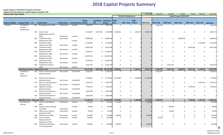### **2018 Capital Projects Summary**

#### **Capital Programs: 2018-2023 by Program and Project**

**Supplemental Information for Capital Programs included in TDP**

| <b>Indicates New Project Added</b> |                                                |     |                                                            |                            |                                                |               |                                            |                |                   |                        |                      | 2,048,000  | 3,038,750   | 234,500      | 85,900                    | 74,600       | 892,297     | 6,374,047  |
|------------------------------------|------------------------------------------------|-----|------------------------------------------------------------|----------------------------|------------------------------------------------|---------------|--------------------------------------------|----------------|-------------------|------------------------|----------------------|------------|-------------|--------------|---------------------------|--------------|-------------|------------|
|                                    |                                                |     |                                                            |                            |                                                |               |                                            |                |                   | 2018 by Funding Source |                      |            |             |              | Capital Program 2018-2023 |              |             |            |
| <b>Program Category</b>            | <b>Program Name</b> ID                         |     | <b>Project Name</b>                                        |                            | <b>Project Status Financial Status Control</b> | <b>Budget</b> | <b>Expenditure Remaining</b><br><b>PTD</b> | <b>Balance</b> | $2018 -$<br>Local | 2018 - State Federal   | $2018 -$             | 2018 Total | 2019 Total  | 2020 Total   | 2021 Total                | 2022 Total   | 2023 Total  | 2018-2023  |
| Vehicles                           | <b>Fixed Route</b><br>Coaches -<br>Replacement |     | 361 Bus Replacement-2019                                   | Preliminary                | Funded                                         | 1,487,792     |                                            | $0$ 1,487,792  | $\mathbf 0$       | $\Omega$               |                      |            | 1,487,792   | $\mathbf 0$  | $\mathbf 0$               | $\mathbf 0$  | $\mathbf 0$ | 1,487,792  |
|                                    |                                                |     | 365 Diesel Coach<br>Replacements-2016 &                    |                            |                                                | 8,151,891     | 3,047,942                                  | 5,103,949      | 1,466,261         |                        | $0$ 1,353,471        | 2,819,732  | $\mathbf 0$ | $\mathbf 0$  | $\mathbf 0$               | $\mathbf 0$  | $\mathbf 0$ | 2,819,732  |
|                                    |                                                | 483 | 2018<br><b>Fixed Route Fleet</b>                           | Preliminary<br>Not started | Funded                                         | 8,680,938     |                                            | 0 8,680,938    | $\mathbf 0$       | 0                      |                      |            | $\mathbf 0$ | 0            | 8,680,938                 | $\mathbf 0$  | $\Omega$    | 8,680,938  |
|                                    |                                                | 486 | Replacement-2021<br><b>Fixed Route Fleet</b>               |                            | Funded                                         | 5,756,004     | $\mathbf{0}$                               | 5,756,00       | $\mathbf 0$       | 0                      |                      |            | 0           | 0            | 0                         | $\mathbf{0}$ | 5,756,004   | 5,756,004  |
|                                    |                                                | 490 | Replacement-2023<br><b>Fixed Route Fleet</b>               | Not started                | Funded                                         | 8,941,366     | 0                                          | 8,941,366      | 0                 | 0                      |                      |            | 0           | 0            | 0                         | 8,941,366    | 0           | 8,941,366  |
|                                    |                                                |     | Replacement-2022<br>492 Fixed Route Fleet                  | Not started                | Funded                                         | 6,258,072     |                                            | 0 6,258,072    | $\mathbf 0$       | 0                      |                      |            | $\Omega$    | $\mathbf 0$  | 0                         | $\mathbf 0$  | $\mathbf 0$ |            |
|                                    |                                                | 493 | Replacement-2026<br><b>Fixed Route Fleet</b>               | Not started                | Funded                                         | 10,078,756    |                                            | 0 10,078,756   | $\mathbf 0$       | 0                      |                      |            | $\Omega$    | $\mathbf 0$  | $\mathbf 0$               | $\mathbf 0$  | $\mathbf 0$ |            |
|                                    |                                                | 494 | Replacement-2024<br><b>Fixed Route Fleet</b>               | Not started                | Funded                                         | 8,549,163     | $\mathbf{0}$                               | 8,549,163      | $\mathbf 0$       | 0                      |                      |            | $\Omega$    | 0            | $\mathbf 0$               | 0            | $\mathbf 0$ |            |
|                                    |                                                |     | Replacement-2025<br>568 Fixed Route Coaches -              | Not started                | Funded                                         | 5,267,559     |                                            | 0, 5, 267, 559 | $\mathbf 0$       | 0                      |                      |            | 0           | 5,267,559    | $\mathbf 0$               | $\mathbf 0$  | $\mathbf 0$ | 5,267,559  |
|                                    |                                                |     | 2020                                                       | Not started                | Funded                                         |               |                                            |                |                   |                        |                      |            |             |              |                           |              |             |            |
|                                    | <b>Fixed Route Coaches - Replacement Total</b> |     |                                                            |                            |                                                | 63,171,541    | 3,047,942 60,123,59                        |                | 1,466,261         |                        | $0$ 1,353,471        | 2,819,732  | 1,487,792   | 5,267,559    | 8,680,938                 | 8,941,366    | 5,756,004   | 32,953,39  |
|                                    | <b>Fixed Route</b><br>Fleet -<br>Expansion     |     | 530 Electric Coach Expansion -<br>Moving Forward           | Not started                | Funded-MF                                      | 5,426,307     |                                            | $0$ 5,426,30   | 0                 | $\mathbf 0$            |                      |            | 5,426,307   | $\mathbf 0$  | $\mathbf 0$               | $\mathbf 0$  | $\Omega$    | 5,426,30   |
|                                    |                                                |     | 531 Diesel Coach Expansion -<br>Moving Forward             | Not started                | Funded-MF                                      | 5,770,802     |                                            | 0 5,770,802    | 4,570,802         |                        | $0 \qquad 1,200,000$ | 5,770,802  | 0           | $\mathbf 0$  | $\mathbf 0$               | 0            | 0           | 5,770,802  |
|                                    |                                                | 532 | <b>Electric Coach Expansion-</b><br>Moving Forward         | Not started                | Funded-MF                                      | 6,107,357     |                                            | $0$ 6,107,35   | 0                 | 0                      |                      |            | $\Omega$    | $\mathbf 0$  | $\mathbf 0$               | $\mathbf 0$  | 6,107,357   | 6,107,357  |
|                                    |                                                | 533 | Signature Coaches -<br>Moving Forward                      | Not started                | Funded-MF                                      | 7,781,025     | $\mathbf{0}$                               | 7,781,025      | $\mathbf 0$       | 0                      |                      |            | 0           | $\mathbf 0$  | 0                         | 7,781,025    | $\mathbf 0$ | 7,781,025  |
|                                    |                                                | 541 | Diesel Coach Expansion-<br>Moving Forward                  | Not started                | Funded-MF                                      | 2,964,340     |                                            | $0$ 2,964,340  | $\mathbf 0$       | 0                      |                      |            | 0           | $\mathbf 0$  | 0                         | 0            | $\mathbf 0$ |            |
|                                    |                                                |     | 570 Diesel Coach Expansion-<br>Moving Forward              | Not started                | Funded-MF                                      | 3,050,948     |                                            | 0 3,050,948    | $\mathbf 0$       | 0                      |                      |            | $\Omega$    | $\mathbf 0$  | $\mathbf 0$               | $\mathbf 0$  | $\mathbf 0$ |            |
|                                    | <b>Fixed Route Fleet - Expansion Total</b>     |     |                                                            |                            |                                                | 31,100,779    |                                            | $0$ 31,100,779 | 4,570,802         | $\mathbf{0}$           | 1,200,000            | 5,770,802  | 5,426,307   | $\mathbf 0$  | $\mathbf{0}$              | 7,781,025    | 6,107,357   | 25,085,491 |
|                                    | Non-Revenue                                    | 231 | Service Trucks #815 &                                      | Preliminary                | Funded                                         | 147,000       | $\mathbf 0$                                | 147,000        | 147,000           | $\Omega$               |                      | 147,000    | $\Omega$    | $\Omega$     | $\Omega$                  | $\Omega$     | $\Omega$    | 147,000    |
|                                    | Vehicles                                       |     | #816<br>296 Replace shelter cleaning                       |                            | Funded                                         | 90,000        | $\Omega$                                   | 90,000         | $\mathbf 0$       | 0                      |                      |            | $\Omega$    | 90,000       | $\mathbf 0$               | 0            | 0           | 90,000     |
|                                    |                                                |     | truck #813<br>349 2020 Service Vehicles                    | Preliminary<br>Not started | Funded                                         | 76,500        | $\mathbf{0}$                               | 76,500         | $\mathbf 0$       | $\Omega$               |                      |            | $\Omega$    | 76,500       | $\Omega$                  | $\Omega$     | $\Omega$    | 76,500     |
|                                    |                                                |     | (previously 2017)<br>350 2018 Service Vehicles             | Not started                | Funded                                         | 120,000       | 0                                          | 120,000        | 120,000           | 0                      |                      | 120,000    | 0           | 0            | 0                         | 0            | 0           | 120,000    |
|                                    |                                                | 360 | Service Vehicle<br>Replacement (PT<br>Supervisors)-2019    | Preliminary                | Funded                                         | 133,000       | 0                                          | 133,000        | 0                 | $\mathbf 0$            |                      |            | 30,000      | $\mathsf{O}$ | $\mathsf{O}$              | $\mathbf 0$  | $\mathbf 0$ | 30,000     |
|                                    |                                                | 506 | <b>Facilities Service/Plow</b><br><b>Truck Replacement</b> | Not started                | Funded                                         | 146,000       | $\mathbf{0}$                               | 146,000        | 146,000           | 0                      |                      | 146,000    | $\mathbf 0$ | 0            | $\mathbf 0$               | $\mathbf 0$  | $\mathbf 0$ | 146,000    |

2018‐2023 CIP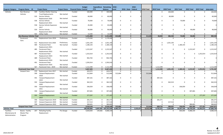|                         |                                   |     |                                            |                       |                                 | <b>Budget</b> | <b>Expenditure Remaining   2018 -</b> |                       |              |                      | $2018 -$  |            |                   |              |              |              |              |            |
|-------------------------|-----------------------------------|-----|--------------------------------------------|-----------------------|---------------------------------|---------------|---------------------------------------|-----------------------|--------------|----------------------|-----------|------------|-------------------|--------------|--------------|--------------|--------------|------------|
| <b>Program Category</b> | <b>Program Name</b> ID            |     | <b>Project Name</b>                        | <b>Project Status</b> | <b>Financial Status Control</b> |               | <b>PTD</b>                            | <b>Balance</b>        | Local        | 2018 - State Federal |           | 2018 Total | <b>2019 Total</b> | 2020 Total   | 2021 Total   | 2022 Total   | 2023 Total   | 2018-2023  |
| Vehicles                | Non-Revenue                       | 509 | <b>Facilities Shelter Cleaning</b>         |                       | Funded                          | 160,000       | $\mathbf 0$                           | 160,000               | $\Omega$     | $\Omega$             |           |            | $\Omega$          | 160,000      | $\Omega$     | $\Omega$     | $\Omega$     | 160,000    |
|                         | Vehicles                          |     | <b>Truck Replacements</b>                  | Not started           |                                 |               |                                       |                       |              |                      |           |            |                   |              |              |              |              |            |
|                         |                                   | 535 | Service Vehicle                            |                       | Funded                          | 60,000        | 0                                     | 60,000                | $\Omega$     | $\mathsf{O}$         |           |            | $\Omega$          | 60,000       | $\mathbf 0$  | $\mathbf 0$  | $\mathbf 0$  | 60,000     |
|                         |                                   |     | Replacement 2020                           | Not started           |                                 |               |                                       |                       |              |                      |           |            |                   |              |              |              |              |            |
|                         |                                   | 536 | Service Vehicle                            |                       | Funded                          | 70,000        | $\mathbf 0$                           | 70,000                | $\Omega$     | $\mathbf 0$          |           |            | $\Omega$          | $\Omega$     | 70,000       | $\mathbf 0$  | $\mathbf 0$  | 70,000     |
|                         |                                   |     | Replacement 2021                           | Not started           |                                 |               |                                       |                       |              |                      |           |            |                   |              |              |              |              |            |
|                         |                                   | 558 | Service Vehicle Expansion                  |                       | Funded                          | 45,000        | 0                                     | 45,000                | $\Omega$     | $\mathbf 0$          |           |            | $\Omega$          | $\Omega$     | $\Omega$     | 0            | 0            |            |
|                         |                                   |     | 2017<br>Service Vehicle                    | Not started           | Funded                          | 90,000        | $\mathbf 0$                           | 90,000                | $\Omega$     | $\mathbf 0$          |           |            | $\Omega$          | $\Omega$     | $\mathbf{0}$ | 90,000       | $\mathbf 0$  |            |
|                         |                                   | 559 |                                            | Not started           |                                 |               |                                       |                       |              |                      |           |            |                   |              |              |              |              | 90,000     |
|                         |                                   | 563 | Replacement 2022<br><b>Utility Trailer</b> | Not started           | Funded                          | 13,500        | $\Omega$                              | 13,500                | $\Omega$     | $\Omega$             |           |            | $\Omega$          | $\Omega$     | $\Omega$     | $\Omega$     | $\Omega$     |            |
|                         | <b>Non-Revenue Vehicles Total</b> |     |                                            |                       |                                 | 1,151,000     | $\mathbf{0}$                          | 1,151,000             | 413,000      | $\mathbf{0}$         |           | 413,000    | 30,000            | 386,500      | 70,000       | 90,000       | $\mathbf{0}$ | 989,500    |
|                         | Paratransit                       | 411 | Replacement Vans-2016                      | Preliminary           | Funded                          | 1,179,500     | $\mathbf{0}$                          | 1,179,500             | $\mathbf 0$  | $\mathbf 0$          |           |            | $\Omega$          | $\Omega$     | $\mathbf{0}$ | $\Omega$     | $\mathbf 0$  |            |
|                         | Vans                              |     |                                            |                       |                                 |               |                                       |                       |              |                      |           |            |                   |              |              |              |              |            |
|                         |                                   | 412 | Replacement Vans-2020                      | Preliminary           | Funded                          | 1,031,193     | $\mathbf 0$                           | 1,031,193             | $\Omega$     | $\Omega$             |           |            | $\Omega$          | 1,031,193    | $\Omega$     | 0            | 0            | 1,031,193  |
|                         |                                   | 484 | Paratransit Fleet                          | Not started           | Funded                          | 1,180,143     | $\mathbf 0$                           | 1,180,143             | $\mathbf 0$  | $\mathbf 0$          |           |            | $\Omega$          | $\mathbf 0$  | 1,180,143    | $\mathbf 0$  | $\mathbf 0$  | 1,180,143  |
|                         |                                   |     | Replacement-2021                           |                       |                                 |               |                                       |                       |              |                      |           |            |                   |              |              |              |              |            |
|                         |                                   | 485 | Paratransit Fleet                          |                       | Funded                          | 1,215,547     | $\mathbf 0$                           | 1,215,547             | $\Omega$     | $\mathbf 0$          |           |            | $\Omega$          | $\Omega$     | $\mathbf 0$  | 1,215,547    | $\mathbf 0$  | 1,215,547  |
|                         |                                   |     | Replacement-2022                           | Not started           |                                 |               |                                       |                       |              |                      |           |            |                   |              |              |              |              |            |
|                         |                                   | 487 | <b>Paratransit Fleet</b>                   |                       | Funded                          | 1,252,014     | $\mathbf 0$                           | 1,252,014             | $\Omega$     | $\mathbf 0$          |           |            | $\Omega$          | $\Omega$     | $\Omega$     | $\Omega$     | 1,252,014    | 1,252,014  |
|                         |                                   |     | Replacement-2023                           | Not started           |                                 |               |                                       |                       |              |                      |           |            |                   |              |              |              |              |            |
|                         |                                   | 489 | Paratransit Fleet                          |                       | Funded                          | 902,702       | 0                                     | 902,702               | $\mathbf 0$  | $\mathbf 0$          |           |            | $\Omega$          | $\Omega$     | $\mathbf{0}$ | $\Omega$     | 0            |            |
|                         |                                   |     | Replacement-2024                           | Not started           |                                 |               |                                       |                       |              |                      |           |            |                   |              |              |              |              |            |
|                         |                                   | 491 | Paratransit Fleet                          |                       | Funded                          | 1,593,914     | $\mathbf{0}$                          | 1,593,914             | $\Omega$     | $\mathbf 0$          |           |            | $\Omega$          | $\Omega$     | $\Omega$     | $\mathbf 0$  | $\pmb{0}$    |            |
|                         |                                   |     | Replacement-2025                           | Not started           |                                 |               |                                       |                       |              |                      |           |            |                   |              |              |              |              |            |
|                         |                                   |     | 567 Paratransit Vans - 2019                | Not started           | Funded                          | 1,112,390     |                                       | $0 \quad 1,112,390$   | $\mathbf 0$  | $\mathbf 0$          |           |            | 1,112,390         | $\Omega$     | $\Omega$     | $\Omega$     | $\Omega$     | 1,112,390  |
|                         | <b>Paratransit Vans Total</b>     |     |                                            |                       |                                 | 9,467,403     | $\mathbf{0}$                          | 9,467,403             | $\mathbf{0}$ | $\mathbf{0}$         | $\Omega$  |            | 1,112,390         | 1,031,193    | 1,180,143    | 1,215,547    | 1,252,014    | 5,791,287  |
|                         | Vanpool Vans                      | 370 | Replacement Vans-2017                      | Not started           | Funded                          | 443,072       | $\mathbf 0$                           | 443,072               | $\mathbf 0$  | $\mathbf 0$          |           |            | $\Omega$          | $\Omega$     | $\Omega$     | $\Omega$     | $\mathbf 0$  |            |
|                         |                                   | 590 | Vanpool Replacement                        |                       | Funded                          | 512,664       | $\mathbf 0$                           | 512,664               | 512,664      | $\mathbf 0$          |           | 512,664    | $\Omega$          | $\Omega$     | $\Omega$     | $\Omega$     | $\Omega$     | 512,664    |
|                         |                                   |     | 2018                                       | Not started           |                                 |               |                                       |                       |              |                      |           |            |                   |              |              |              |              |            |
|                         |                                   | 591 | Vanpool Replacement<br>2019                |                       | Funded                          | 387,161       | $\mathsf{O}$                          | 387,161               | $\mathbf 0$  | $\mathbf 0$          |           |            | 387,161           | $\Omega$     | $\Omega$     | 0            | $\mathbf 0$  | 387,161    |
|                         |                                   | 592 | Vanpool Replacement                        | Not started           | Funded                          | 362,523       | $\mathbf 0$                           | 362,523               | $\Omega$     | $\mathbf 0$          |           |            | $\Omega$          | 362,523      | $\Omega$     | 0            | $\mathbf 0$  |            |
|                         |                                   |     | 2020                                       | Not started           |                                 |               |                                       |                       |              |                      |           |            |                   |              |              |              |              | 362,523    |
|                         |                                   | 593 | Vanpool Replacement                        |                       | Funded                          | 336,059       | 0                                     | 336,059               | $\mathbf 0$  | $\mathbf 0$          |           |            | $\Omega$          | $\mathbf 0$  | 336,059      | 0            | $\mathbf 0$  | 336,059    |
|                         |                                   |     | 2021                                       | Not started           |                                 |               |                                       |                       |              |                      |           |            |                   |              |              |              |              |            |
|                         |                                   | 594 | Vanpool Replacement                        |                       | Funded                          | 307,681       | 0                                     | 307,681               | $\Omega$     | $\mathbf 0$          |           |            | $\Omega$          | $\mathbf 0$  | $\mathbf 0$  | 307,681      | $\mathbf 0$  | 307,681    |
|                         |                                   |     | 2022                                       | Not started           |                                 |               |                                       |                       |              |                      |           |            |                   |              |              |              |              |            |
|                         |                                   |     | 595 Vanpool Replacement                    |                       | Funded                          | 277,297       | $\overline{0}$                        | 277,297               | $\mathbf{0}$ | $\overline{0}$       |           |            | $\Omega$          | $\mathbf{0}$ | $\Omega$     | $\mathbf{0}$ | 277,297      | 277,297    |
|                         |                                   |     | 2023                                       | Not started           |                                 |               |                                       |                       |              |                      |           |            |                   |              |              |              |              |            |
|                         |                                   | 596 | Vanpool Expansion 2019                     | Not started           | Funded                          | 281,571       | 0                                     | 281,571               | $\mathbf 0$  | $\mathbf 0$          |           |            | 281,571           | $\mathbf 0$  | $\mathbf 0$  | 0            | $\mathbf 0$  | 281,571    |
|                         |                                   | 597 | Vanpool Expansion 2020                     | Not started           | Funded                          | 217,514       | $\mathsf{O}$                          | 217,514               | $\mathbf 0$  | $\mathbf 0$          |           |            | $\mathbf 0$       | 217,514      | $\mathbf 0$  | $\mathbf 0$  | $\mathsf 0$  | 217,514    |
|                         |                                   | 598 | Vanpool Expansion 2022                     | Not started           | Funded                          | 384,601       | $\Omega$                              | 384,601               | $\Omega$     | $\Omega$             |           |            | $\Omega$          | $\Omega$     | $\Omega$     | 384,601      | $\Omega$     | 384,601    |
|                         | <b>Vanpool Vans Total</b>         |     |                                            |                       |                                 | 3,510,143     | $\mathbf{0}$                          | 3,510,143             | 512,664      | $\mathbf{0}$         |           | 512,664    | 668,732           | 580,037      | 336,059      | 692,282      | 277,297      | 3,067,071  |
| <b>Vehicles Total</b>   |                                   |     |                                            |                       |                                 | 108,400,866   |                                       | 3,047,942 105,352,924 | 6,962,727    | $\mathbf{0}$         | 2,553,471 | 9,516,198  | 8,725,221         | 7,265,289    | 10,267,140   | 18,720,220   | 13,392,672   | 67,886,740 |
| Facilities -            | Boone - Facility                  | 207 | <b>Refueling Facility</b>                  | Pre-Design            | Funded                          | 4,828,000     | 139,666                               | 4,688,334             | $\mathbf 0$  | $\mathbf{0}$         |           |            | $\mathbf 0$       | $\mathbf 0$  | 600,000      | 4,088,334    | $\mathbf 0$  | 4,688,334  |
| Maintenance &           | Master Plan                       |     | Replacement                                |                       |                                 |               |                                       |                       |              |                      |           |            |                   |              |              |              |              |            |
| Administration          | Program                           |     |                                            |                       |                                 |               |                                       |                       |              |                      |           |            |                   |              |              |              |              |            |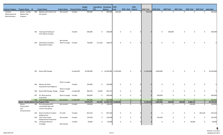|                                                 |                                                   |     |                                                                        |                                      |                                 | <b>Budget</b> | <b>Expenditure Remaining</b> |                               | $2018 -$     |                      | $2018 -$     |            |            |                     |              |                        |                         |                            |
|-------------------------------------------------|---------------------------------------------------|-----|------------------------------------------------------------------------|--------------------------------------|---------------------------------|---------------|------------------------------|-------------------------------|--------------|----------------------|--------------|------------|------------|---------------------|--------------|------------------------|-------------------------|----------------------------|
| <b>Program Category</b>                         | <b>Program Name</b> ID                            |     | <b>Project Name</b>                                                    | <b>Project Status</b>                | <b>Financial Status Control</b> |               | <b>PTD</b>                   | <b>Balance</b>                | Local        | 2018 - State Federal |              | 2018 Total | 2019 Total | 2020 Total          | 2021 Total   | 2022 Total             | 2023 Total 2018-2023    |                            |
| Facilities -<br>Maintenance &<br>Administration | Boone - Facility<br>Master Plan<br>Program        |     | 298 Replace paint booth and<br>lift systems                            | Not started                          | Funded                          | 990,000       | $\mathbf{0}$                 | 990,000                       | 990,000      |                      | $\mathbf 0$  | 990,000    |            | $\mathbf 0$         | $\mathbf 0$  | $\mathbf 0$            | 0                       | 990,000<br>$\mathbf{0}$    |
|                                                 |                                                   |     | 332 Fencing and Gating of<br><b>STA's Boone Campus</b>                 |                                      | Funded                          | 206,000       | $\mathbf{0}$                 | 206,000                       | $\Omega$     |                      | 0            |            |            | 206,000<br>$\Omega$ |              | 0                      | $\Omega$                | 206,000<br>$\Omega$        |
|                                                 |                                                   | 429 | 2014 Boone Facilities                                                  | Not started<br>Work in progre Funded |                                 | 750,000       | 511,326                      | 238,674                       | $\Omega$     |                      | 0            |            |            | $\mathbf 0$         | 0            | $\mathbf 0$            |                         | O                          |
|                                                 |                                                   |     | <b>Renovation Project</b><br>502 Boone NW Garage                       |                                      | Funded-MF                       | 16,500,000    |                              | 0 16,500,000 11,950,000       |              |                      | $\mathbf 0$  | 11,950,000 | 4,400,000  |                     | $\mathbf 0$  | $\mathbf 0$            | 0                       | 16,350,000<br><sup>0</sup> |
|                                                 |                                                   |     | 504 Mission & Green<br><b>Acquisition Due-Diligence</b>                | Work in progre                       | Funded                          | 250,000       | $\mathbf{0}$                 | 250,000                       | $\Omega$     |                      | 0            |            |            | $\mathbf 0$         | $\mathbf 0$  | $\mathbf 0$            | $\Omega$<br>O           |                            |
|                                                 |                                                   |     | 538 Boone NW Garage- Design                                            | Work in progre<br>Design             | Funded-MF                       | 946,079       | 19,364                       | 926,715                       | 0            |                      | 0            |            |            | $\mathbf 0$         | $\mathbf 0$  | 0                      | 0                       | $\mathbf 0$                |
|                                                 |                                                   |     | 547 W. Sharp Avenue<br>Acquisition                                     | Work in progre Funded                |                                 | 300,000       | $\mathbf 0$                  | 300,000                       | $\mathbf 0$  |                      | 0            |            | 300,000    |                     | $\mathbf 0$  | 0                      | 0                       | 0<br>300,000               |
|                                                 |                                                   |     | 580 1212 Parking Expansion                                             | Not started                          | Funded-MF                       | 205,000       | $\mathbf{0}$                 | 205,000                       | $\mathbf{0}$ |                      | $\Omega$     |            | 205,000    |                     | $\mathbf{0}$ | $\Omega$               | $\mathbf{0}$            | $\overline{0}$<br>205,000  |
|                                                 | <b>Boone - Facility Master Plan Program Total</b> |     |                                                                        |                                      |                                 | 24,975,079    |                              | 670,356 24,304,723 12,940,000 |              |                      | $\mathbf{0}$ | 12,940,000 | 4,905,000  | 206,000             | 600,000      | 4,088,334              |                         | 22,739,334<br>$\mathbf{0}$ |
|                                                 | Boone -<br>Preservation<br>and<br>Enhancements    |     | 189 Re-landscaping with<br>sustainable type and<br>correct tree grates | Not started                          | Funded                          | 130,000       | $\mathbf 0$                  | 130,000                       | $\mathbf 0$  |                      | $\mathbf 0$  |            |            | $\mathbf 0$         | $\mathbf 0$  | 130,000<br>$\Omega$    |                         | 130,000<br>$\mathbf 0$     |
|                                                 |                                                   | 324 | Boone Facility Fire Alarm<br>Replacement                               | On hold                              | Funded                          | 467,610       | $\overline{0}$               | 467,610                       | 0            |                      | $\mathbf 0$  |            |            | $\mathbf 0$         | $\mathbf 0$  | $\mathbf 0$            | 467,610<br>$\mathbf{0}$ | 467,610                    |
|                                                 |                                                   |     | 345 Floor Drain Grate<br><b>Replacement Paratransit</b>                | Not started                          | Funded                          | 144,200       | $\overline{0}$               | 144,200                       | $\mathbf 0$  |                      | $\mathbf 0$  |            | 144,200    |                     | $\mathbf 0$  | $\mathsf{O}$           | $\mathbf 0$             | $\mathbf 0$<br>144,200     |
|                                                 |                                                   |     | 351 Landscape Monroe<br>Frontage                                       | Not started                          | Funded                          | 50,000        | $\mathbf 0$                  | 50,000                        | $\mathbf 0$  |                      | $\mathbf 0$  |            |            | $\mathbf 0$         | $\mathbf 0$  | 50,000<br>$\mathsf{O}$ |                         | 50,000<br>$\mathbf 0$      |

5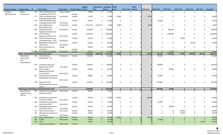|               |                                                                           |     |                                                         |                                                |        | <b>Budget</b>       | <b>Expenditure Remaining 2018 -</b> |                     |                          | $2018 -$                     |            |                     |                     |                          |                     |                         |                     |
|---------------|---------------------------------------------------------------------------|-----|---------------------------------------------------------|------------------------------------------------|--------|---------------------|-------------------------------------|---------------------|--------------------------|------------------------------|------------|---------------------|---------------------|--------------------------|---------------------|-------------------------|---------------------|
|               | Program Category Program Name ID                                          |     | <b>Project Name</b>                                     | <b>Project Status Financial Status Control</b> |        |                     | <b>PTD</b>                          | <b>Balance</b>      | Local                    | 2018 - State Federal         | 2018 Total | <b>2019 Total</b>   | <b>2020 Total</b>   | 2021 Total               | 2022 Total          | <b>2023 Total</b>       | 2018-2023           |
| Facilities -  | Boone -                                                                   |     | 376 HVAC Unit Maintenance                               | Work in progre                                 |        | 15,000              | $\mathbf 0$                         | 15,000              | $\mathbf 0$              | $\mathbf 0$                  |            | $\mathbf 0$         | $\mathbf 0$         | $\mathbf 0$              | $\mathbf 0$         | $\mathbf 0$             | $\Omega$            |
| Maintenance & | Preservation                                                              |     | and Replacements-2017                                   |                                                | Funded |                     |                                     |                     |                          |                              |            |                     |                     |                          |                     |                         |                     |
|               |                                                                           |     | 377 HVAC Unit Maintenance                               | Not started                                    | Funded | 12,000              | $\mathbf{0}$                        | 12,000              | 12,000                   | 0                            | 12,000     | $\mathbf 0$         | $\mathbf 0$         | 0                        | 0                   | 0                       | 12,000              |
|               |                                                                           |     | and Replacements-2018                                   |                                                |        |                     |                                     |                     |                          |                              |            |                     |                     |                          |                     |                         |                     |
|               |                                                                           |     | 378 HVAC Unit Maintenance                               |                                                | Funded | 10,000              | $\mathbf 0$                         | 10,000              | 0                        | 0                            |            | 10,000              | 0                   | $\mathbf 0$              | 0                   | $\mathbf 0$             | 10,000              |
|               |                                                                           |     | and Replacements-2019                                   | Not started                                    |        |                     |                                     |                     |                          |                              |            |                     |                     |                          |                     |                         |                     |
|               |                                                                           |     | 454 H & V Replacement                                   | Construction                                   | Funded | 2,212,754           | 2,203,754                           | 9,000               | 9,000                    | $\mathbf 0$                  | 9,000      | $\mathbf 0$         | 0                   | 0                        | 0                   | $\mathbf 0$             | 9,000               |
|               |                                                                           |     | Project Boone Ave                                       |                                                |        |                     |                                     |                     |                          |                              |            |                     |                     |                          |                     |                         |                     |
|               |                                                                           | 458 | Passenger Elevator                                      | Not started                                    | Funded | 380,000             | $\mathbf{0}$                        | 380,000             | 0                        | 0                            |            | $\mathbf 0$         | 380,000             | 0                        | 0                   | $\mathbf 0$             | 380,000             |
|               |                                                                           |     | Replacement Boone Ave                                   |                                                |        |                     |                                     |                     |                          |                              |            |                     |                     |                          |                     |                         |                     |
|               |                                                                           | 460 | <b>UST Non-Diesel</b>                                   |                                                | Funded | 1,480,000           | $\mathbf 0$                         | 1,480,000           | 0                        | $\mathbf 0$                  |            | $\mathbf 0$         | 1,480,000           | $\mathbf 0$              | 0                   | $\mathbf 0$             | 1,480,000           |
|               |                                                                           |     | Replacement Boone Ave                                   | Not started                                    |        |                     |                                     |                     |                          |                              |            |                     |                     |                          |                     |                         |                     |
|               |                                                                           |     | 505 HVAC Unit Maintenance                               |                                                | Funded | 25,000              | 0                                   | 25,000              | 0                        | $\mathbf 0$                  |            | 0                   | 0                   | 25,000                   | 0                   | $\mathbf 0$             | 25,000              |
|               |                                                                           |     | and Replacements - 2021                                 | Not started                                    |        |                     |                                     |                     |                          |                              |            |                     |                     |                          |                     |                         |                     |
|               |                                                                           |     | 556 Miscellaneous Equipment                             |                                                | Funded | 20,000              | $\mathbf 0$                         | 20,000              | 0                        | $\mathbf 0$                  |            | $\mathbf 0$         | $\mathbf 0$         | 0                        | 20,000              | $\mathbf 0$             | 20,000              |
|               |                                                                           |     | and Fixtures                                            | Not started                                    |        |                     |                                     |                     |                          |                              |            |                     |                     |                          |                     |                         |                     |
|               |                                                                           | 557 | Back-up Generator for                                   | Design                                         |        | 95,000              | $\mathbf 0$                         | 95,000              | 0                        | $\mathbf 0$                  |            | 0                   | $\mathbf 0$         | 0                        | 0                   | $\mathbf 0$             | 0                   |
|               |                                                                           |     | 1212 Sharp                                              |                                                | Funded |                     |                                     |                     |                          |                              |            |                     |                     |                          |                     |                         |                     |
|               |                                                                           |     | 587 Air Compressor upgrade                              | Not started                                    | Funded | 75,000<br>5,116,564 | $\overline{0}$<br>2,203,754         | 75,000<br>2,912,810 | $\overline{0}$<br>21,000 | $\mathbf{0}$<br>$\mathbf{0}$ | 21,000     | $\Omega$<br>154,200 | 75,000<br>1,935,000 | $\overline{0}$<br>25,000 | $\Omega$<br>200,000 | $\mathbf{0}$<br>467,610 | 75,000<br>2,802,810 |
|               | <b>Boone - Preservation and Enhancements Total</b><br><b>Fleck Center</b> | 354 | Overhead Door                                           |                                                | Funded | 125,000             | $\mathbf 0$                         | 125,000             | $\mathbf 0$              | $\mathbf 0$                  |            | 125,000             | $\mathbf 0$         | $\mathbf 0$              | $\mathbf{0}$        | $\mathbf 0$             | 125,000             |
|               | Preservation                                                              |     | Replacement - FSC                                       | Not started                                    |        |                     |                                     |                     |                          |                              |            |                     |                     |                          |                     |                         |                     |
|               | and                                                                       |     |                                                         |                                                |        |                     |                                     |                     |                          |                              |            |                     |                     |                          |                     |                         |                     |
|               |                                                                           |     |                                                         |                                                |        |                     |                                     |                     |                          |                              |            |                     |                     |                          |                     |                         |                     |
|               | Improvements                                                              | 424 |                                                         |                                                | Funded | 180,000             | $\mathbf 0$                         |                     | $\Omega$                 | $\mathbf 0$                  |            | 180,000             | 0                   | 0                        | 0                   | $\mathbf 0$             | 180,000             |
|               |                                                                           |     | <b>Emergency Generator</b><br>Replacement @ FSC         | Not started                                    |        |                     |                                     | 180,000             |                          |                              |            |                     |                     |                          |                     |                         |                     |
|               |                                                                           | 463 | Floor Scrubber                                          |                                                | Funded | 64,000              | $\mathbf 0$                         | 64,000              | $\Omega$                 | 0                            |            | $\mathbf 0$         | 64,000              | 0                        | $\mathbf 0$         | $\mathbf 0$             | 64,000              |
|               |                                                                           |     | Replacement @ Fleck                                     |                                                |        |                     |                                     |                     |                          |                              |            |                     |                     |                          |                     |                         |                     |
|               |                                                                           |     | Service Center                                          | Not started                                    |        |                     |                                     |                     |                          |                              |            |                     |                     |                          |                     |                         |                     |
|               |                                                                           | 507 | Fuel Dispensers & Monitor                               |                                                | Funded | 65,000              | 0                                   | 65,000              | $\Omega$                 | $\mathbf 0$                  |            | 65,000              | 0                   | 0                        | 0                   | $\mathbf 0$             | 65,000              |
|               |                                                                           |     | <b>Replacement Fleck Center</b>                         |                                                |        |                     |                                     |                     |                          |                              |            |                     |                     |                          |                     |                         |                     |
|               |                                                                           |     |                                                         | Not started                                    |        |                     |                                     |                     |                          |                              |            |                     |                     |                          |                     |                         |                     |
|               |                                                                           | 508 | Makeup Air Unit                                         |                                                | Funded | 625,000             | $\mathbf 0$                         | 625,000             | $\Omega$                 | $\mathbf 0$                  |            | 625,000             | $\mathbf 0$         | 0                        | $\mathsf{O}$        | $\mathbf 0$             | 625,000             |
|               |                                                                           |     | <b>Replacement Fleck Service</b>                        |                                                |        |                     |                                     |                     |                          |                              |            |                     |                     |                          |                     |                         |                     |
|               |                                                                           |     | Center                                                  | Not started                                    |        |                     |                                     |                     |                          |                              |            |                     |                     |                          |                     |                         |                     |
|               |                                                                           |     | <b>Fleck Center Preservation and Improvements Total</b> |                                                |        | 1,059,000           | $\mathbf{0}$                        | 1,059,000           | $\mathbf{0}$             | $\mathbf 0$                  |            | 995,000             | 64,000              | $\mathbf{0}$             | $\mathbf{0}$        | $\mathbf{0}$            | 1,059,000           |
|               | Miscellaneous                                                             | 390 | Miscellaneous Equipment                                 | Not started                                    | Funded | 20,000              | $\mathbf 0$                         | 20,000              | $\mathbf 0$              | $\mathbf 0$                  |            | $\Omega$            | $\mathbf 0$         | $\Omega$                 | $\mathbf 0$         | $\mathbf 0$             | $\mathbf 0$         |
|               | Equipment and                                                             |     | and Fixtures-2017                                       |                                                |        |                     |                                     |                     |                          |                              |            |                     |                     |                          |                     |                         |                     |
|               | Fixtures                                                                  |     |                                                         |                                                |        |                     |                                     |                     |                          |                              |            |                     |                     |                          |                     |                         |                     |
|               |                                                                           |     | 391 Miscellaneous Equipment                             |                                                | Funded | 20,000              | $\mathbf 0$                         | 20,000              | 20,000                   | $\mathbf 0$                  | 20,000     | 0                   | 0                   | $\mathbf 0$              | $\Omega$            | $\mathbf 0$             | 20,000              |
|               |                                                                           |     | and Fixtures-2018                                       | Not started                                    |        |                     |                                     |                     |                          |                              |            |                     |                     |                          |                     |                         |                     |
|               |                                                                           |     | 392 Miscellaneous Equipment                             |                                                | Funded | 20,000              | 0                                   | 20,000              | 0                        | $\mathbf 0$                  |            | 20,000              | $\mathbf 0$         | 0                        | 0                   | $\mathbf 0$             | 20,000              |
|               |                                                                           |     | and Fixtures-2019                                       | Not started                                    |        |                     |                                     |                     |                          |                              |            |                     |                     |                          |                     |                         |                     |
|               |                                                                           |     | 393 Miscellaneous Equipment                             |                                                | Funded | 20,000              | 0                                   | 20,000              | 0                        | $\mathbf 0$                  |            | $\Omega$            | 20,000              | 0                        | 0                   | $\mathbf 0$             | 20,000              |
|               |                                                                           |     | and Fixtures-2020                                       | Not started                                    |        |                     |                                     |                     |                          |                              |            |                     |                     |                          |                     |                         |                     |
|               |                                                                           |     | 511 Cabinet Parts Washer                                | Not started                                    | Funded | 80,000              | 0                                   | 80,000              | 0                        | 0                            |            | $\Omega$            | 0                   | 80,000                   | 0                   | 0                       | 80,000              |
|               |                                                                           |     | 512 Miscellaneous Equipment                             |                                                | Funded | 20,000              | $\mathbf 0$                         | 20,000              | $\Omega$                 | $\mathbf 0$                  |            | $\Omega$            | $\Omega$            | 20,000                   | $\mathbf 0$         | $\mathbf 0$             | 20,000              |
|               |                                                                           |     | and Fixtures                                            | Not started                                    |        |                     |                                     |                     |                          |                              |            |                     |                     |                          |                     |                         |                     |
|               |                                                                           |     | 581 Bobcat 5600 Toolcat                                 | Not started                                    | Funded | 80,000              | $\mathbf{0}$                        | 80,000              | 80,000                   | $\mathbf{0}$                 | 80,000     | $\Omega$            | $\Omega$            | $\Omega$                 | $\Omega$            | $\mathbf{0}$            | 80,000              |
|               |                                                                           |     | 582 Forklift                                            | Not started                                    | Funded | 24,000              | $\mathbf{0}$                        | 24,000              | $\mathbf 0$              | $\mathbf{0}$                 |            | 24,000              | $\mathbf{0}$        | $\mathbf{0}$             | $\mathbf{0}$        | $\mathbf{0}$            | 24,000              |
|               |                                                                           |     | 583 HVAC                                                |                                                |        | 25,000              | $\mathbf{0}$                        | 25,000              | $\overline{0}$           | $\mathbf{0}$                 |            | $\Omega$            | $\mathbf{0}$        | $\mathbf{0}$             | $\mathbf{0}$        | 25,000                  | 25,000              |
|               |                                                                           |     | Replacement/upgrades                                    | Not started                                    | Funded |                     |                                     |                     |                          |                              |            |                     |                     |                          |                     |                         |                     |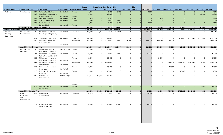| <b>Program Category</b>                         | <b>Program Name</b> ID                            |     | <b>Project Name</b>                         | <b>Project Status Financial Status Control</b> |           | <b>Budget</b> | <b>Expenditure Remaining</b><br><b>PTD</b> | <b>Balance</b> | $ 2018 -$<br>Local | $2018 -$<br>2018 - State Federal | 2018 Total | 2019 Total     | 2020 Total   | 2021 Total   | 2022 Total   | <b>2023 Total</b> | 2018-2023  |
|-------------------------------------------------|---------------------------------------------------|-----|---------------------------------------------|------------------------------------------------|-----------|---------------|--------------------------------------------|----------------|--------------------|----------------------------------|------------|----------------|--------------|--------------|--------------|-------------------|------------|
| Facilities -                                    | Miscellaneous                                     | 584 | <b>Portable Paint Station</b>               | Not started                                    | Funded    | 8,000         | $\mathbf{0}$                               | 8,000          | 8,000              | $\mathbf{0}$                     | 8,000      | $\mathbf{0}$   | $\mathbf{0}$ | $\mathbf{0}$ | $\mathbf 0$  | $\mathbf{0}$      | 8,000      |
|                                                 |                                                   | 585 | <b>Miscellaneous Equipment</b>              |                                                |           | 20,000        | $\mathbf{0}$                               | 20,000         | $\mathbf{0}$       | $\mathbf{0}$                     |            | $\Omega$       | $\Omega$     | $\Omega$     | $\mathbf{0}$ | 20,000            | 20,000     |
|                                                 |                                                   |     | and Fixtures-2023                           | Not started                                    | Funded    |               |                                            |                |                    |                                  |            |                |              |              |              |                   |            |
|                                                 |                                                   |     | 586 Spray Skid Assembly                     | Not started                                    | Funded    | 6,250         | $\overline{0}$                             | 6,250          | $\mathbf{0}$       | $\overline{0}$                   |            | 6,250          | $\Omega$     | $\Omega$     | $\mathbf{0}$ | $\mathbf{0}$      | 6,250      |
|                                                 |                                                   | 588 | High Rise Wheel Dolly                       | Not started                                    | Funded    | 6,000         | $\mathbf{0}$                               | 6,000          | 6,000              | $\mathbf{0}$                     | 6,000      | $\overline{0}$ | $\Omega$     | $\Omega$     | $\mathbf{0}$ | $\mathbf{0}$      | 6,000      |
|                                                 |                                                   | 589 | TIG Welder, Miller<br>Dynasty 280 DX        |                                                | Funded    | 8,400         | $\mathbf{0}$                               | 8,400          | 8,400              | $\mathbf{0}$                     | 8,400      | $\Omega$       | $\Omega$     | $\Omega$     | $\mathbf{0}$ | $\mathbf{0}$      | 8,400      |
|                                                 | <b>Miscellaneous Equipment and Fixtures Total</b> |     |                                             | Not started                                    |           | 357,650       | $\mathbf{0}$                               | 357,650        | 122,400            | $\mathbf{0}$                     | 122,400    | 50,250         | 20,000       | 100,000      | $\mathbf{0}$ | 45,000            | 337,650    |
| Facilities - Maintenance & Administration Total |                                                   |     |                                             |                                                |           | 31,508,293    | 2,874,110                                  | 28,634,183     | 13,083,400         | $\mathbf 0$                      | 13,083,400 | 6,104,450      | 2,225,000    | 725,000      | 4,288,334    | 512,610           | 26,938,794 |
| Facilities -                                    | Park and Ride                                     | 466 | Moran Prairie Park and                      | Not started                                    | Funded-MF | 245,000       | 14,956                                     | 230,044        | 135,044            | $\mathbf 0$                      | 135,044    | $\mathbf 0$    | $\mathbf 0$  | $\mathbf 0$  | $\mathbf 0$  | $\mathbf 0$       | 135,044    |
| Passenger &<br>Operational                      | Development                                       |     | Ride Design & Engineering                   |                                                |           |               |                                            |                |                    |                                  |            |                |              |              |              |                   |            |
|                                                 |                                                   | 477 | Liberty Lake Park & Ride                    | Not started                                    | Funded-MF | 5,562,000     | $\mathbf 0$                                | 5,562,000      | 0                  | $\Omega$                         |            | 0              | 0            | 412,000      | 2,575,000    | 2,575,000         | 5,562,000  |
|                                                 |                                                   | 542 | Moran Prairie Park and                      |                                                | Funded-MF | 2,325,000     | $\mathbf 0$                                | 2,325,000      | 125,000            | 250,000                          | 375,000    | 1,860,000      | 90,000       | $\mathbf 0$  | $\mathbf 0$  | 0                 | 2,325,000  |
|                                                 |                                                   |     | <b>Ride Construction</b>                    |                                                |           |               |                                            |                |                    |                                  |            |                |              |              |              |                   |            |
|                                                 | <b>Park and Ride Development Total</b>            |     |                                             | Not started                                    |           | 8,132,000     | 14,956                                     | 8,117,044      | 260,044            | 250,000                          | 510,044    | 1,860,000      | 90,000       | 412,000      | 2,575,000    | 2,575,000         | 8,022,044  |
|                                                 | Park and Ride                                     | 383 | Maintenance of current                      | Work in progre Funded                          |           | 25,000        | $\mathbf 0$                                | 25,000         | $\mathbf 0$        | $\mathbf 0$                      |            | $\mathbf 0$    | $\mathbf 0$  | $\Omega$     | $\Omega$     | $\mathbf 0$       |            |
|                                                 | Upgrades                                          |     | Park & Ride facilities-2017                 |                                                |           |               |                                            |                |                    |                                  |            |                |              |              |              |                   |            |
|                                                 |                                                   |     | 384 Maintenance of current                  | Not started                                    | Funded    | 25,000        | $\mathbf 0$                                | 25,000         | 25,000             | 0                                | 25,000     | $\Omega$       | $\mathbf 0$  | 0            | 0            | 0                 | 25,000     |
|                                                 |                                                   |     | Park & Ride facilities-2018                 |                                                |           |               |                                            |                |                    |                                  |            |                |              |              |              |                   |            |
|                                                 |                                                   |     | 385 Maintenance of current                  |                                                | Funded    | 25,000        | 0                                          | 25,000         | 0                  | $\mathbf 0$                      |            | 25,000         | $\mathbf 0$  | $\mathbf 0$  | $\mathbf 0$  | 0                 | 25,000     |
|                                                 |                                                   |     | Park & Ride facilities-2019                 | Not started                                    |           |               |                                            |                |                    |                                  |            |                |              |              |              |                   |            |
|                                                 |                                                   | 469 | Mirabeau Transit Center                     |                                                | Funded-MF | 8,488,000     | $\mathbf 0$                                | 8,488,000      | 0                  | $\mathbf 0$                      |            | $\mathbf 0$    | 424,400      | 1,698,200    | 5,941,000    | 424,400           | 8,488,000  |
|                                                 |                                                   |     | Improvements<br>510 Park and Ride Lot Major | Not started                                    | Funded    |               | $\mathbf 0$                                |                | 0                  | $\mathbf 0$                      |            | 0              | 25,000       | $\mathbf 0$  | $\mathbf 0$  | 0                 | 25,000     |
|                                                 |                                                   |     | Preservation                                | Not started                                    |           | 25,000        |                                            | 25,000         |                    |                                  |            |                |              |              |              |                   |            |
|                                                 |                                                   |     | 513 Park and Ride Lot Major                 |                                                | Funded    | 25,000        | $\mathbf 0$                                | 25,000         | $\mathbf 0$        | $\mathbf 0$                      |            | $\mathbf 0$    | $\mathbf 0$  | 25,000       | 0            | $\mathsf{O}$      | 25,000     |
|                                                 |                                                   |     | Preservation                                | Not started                                    |           |               |                                            |                |                    |                                  |            |                |              |              |              |                   |            |
|                                                 |                                                   | 569 | Jefferson Lot                               | Work in progre                                 |           | 554,052       | 460,689                                    | 93,363         | $\mathbf 0$        | $\mathsf{O}$                     |            | $\Omega$       | $\mathbf 0$  | $\mathbf 0$  | $\mathbf 0$  | 0                 |            |
|                                                 |                                                   |     | Improvements                                |                                                |           |               |                                            |                |                    |                                  |            |                |              |              |              |                   |            |
|                                                 |                                                   |     |                                             |                                                |           |               |                                            |                |                    |                                  |            |                |              |              |              |                   |            |
|                                                 |                                                   |     |                                             |                                                | Funded    |               |                                            |                |                    |                                  |            |                |              |              |              |                   |            |
|                                                 |                                                   |     | 613 Park and Ride Lot                       | Not started                                    | Funded    | 20,000        | $\overline{0}$                             | 20,000         | $\overline{0}$     | $\mathbf{0}$                     |            | $\Omega$       | $\mathbf{0}$ | $\mathbf{0}$ | $\mathbf{0}$ | 20,000            | 20,000     |
|                                                 | <b>Park and Ride Upgrades Total</b>               |     | Preservation                                |                                                |           | 9,187,052     | 460,689                                    | 8,726,363      | 25,000             | $\mathbf{0}$                     | 25,000     | 25,000         | 449,400      | 1,723,200    | 5,941,000    | 444,400           | 8,608,000  |
|                                                 | Plaza                                             | 471 | Plaza Zone 4-5                              | Not started                                    | Funded-MF | 55,620        | $\Omega$                                   | 55,620         | 55,620             | $\mathsf{O}$                     | 55,620     | $\mathbf 0$    | $\Omega$     | $\Omega$     | $\mathbf 0$  | $\Omega$          | 55,620     |
|                                                 | Preservation<br>and<br>Improvements               |     | Consolidation                               |                                                |           |               |                                            |                |                    |                                  |            |                |              |              |              |                   |            |
|                                                 |                                                   |     | 514 2018 Skywalk Roof<br>Replacement Plaza  | Not started                                    | Funded    | 40,000        |                                            | 40,000         | 40,000             | $\Omega$                         | 40,000     | $\mathbf 0$    | $\pmb{0}$    | $\Omega$     | $\mathbf 0$  | $\Omega$          | 40,000     |
|                                                 |                                                   |     |                                             |                                                |           |               |                                            |                |                    |                                  |            |                |              |              |              |                   |            |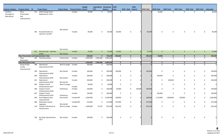| <b>Program Category</b>                    | <b>Program Name</b> ID                           |     | <b>Project Name</b>                          | <b>Project Status Financial Status Control</b> |           | <b>Budget</b> | <b>Expenditure Remaining 2018 -</b><br><b>PTD</b> | <b>Balance</b> | Local        | 2018 - State Federal | $2018 -$              | 2018 Total | 2019 Total              | 2020 Total   | 2021 Total |              |              | 2022 Total 2023 Total 2018-2023 |
|--------------------------------------------|--------------------------------------------------|-----|----------------------------------------------|------------------------------------------------|-----------|---------------|---------------------------------------------------|----------------|--------------|----------------------|-----------------------|------------|-------------------------|--------------|------------|--------------|--------------|---------------------------------|
| Facilities -<br>Passenger &<br>Operational | Plaza<br>Preservation<br>and<br>Improvements     |     | 515 2019 Cooling Tower<br>Replacement, Plaza |                                                | Funded    | 30,000        | $\mathbf 0$                                       | 30,000         | 0            |                      | $\mathbf 0$           |            | 30,000                  | $\mathbf 0$  |            | $\mathbf 0$  | $\mathbf 0$  | 30,000<br>0                     |
|                                            |                                                  | 564 | Re plumb boilers to<br>operate in parallel   | Not started                                    | Funded    | 85,000        | $\mathbf 0$                                       | 85,000         | 85,000       |                      | $\mathbf 0$           | 85,000     | $\mathbf 0$             | 0            |            | 0            | 0            | 85,000<br>0                     |
|                                            |                                                  |     |                                              | Not started                                    |           |               |                                                   |                |              |                      |                       |            |                         |              |            |              |              |                                 |
|                                            |                                                  |     | 612 Security Suite - stand-by<br>power       | Not started                                    | Funded    | 25,000        | $\overline{0}$                                    | 25,000         | 25,000       |                      | $\mathbf{0}$          | 25,000     | $\mathbf{0}$            | $\mathbf{0}$ |            | $\mathbf{0}$ | $\mathbf{0}$ | $\overline{0}$<br>25,000        |
|                                            | <b>Plaza Preservation and Improvements Total</b> |     |                                              |                                                |           | 235,620       | $\mathbf 0$                                       | 235,620        | 205,620      |                      | $\mathbf{0}$          | 205,620    | 30,000                  | $\mathbf 0$  |            | $\bf{0}$     | $\bf{0}$     | 235,620<br>$\mathbf{0}$         |
|                                            | Plaza<br>Renovation                              |     | 495 Plaza Renovation                         | Construction                                   | Funded    | 4,950,000     | 2,946,380                                         | 2,003,620      | $\mathbf 0$  |                      | 0                     |            | $\mathbf 0$             | $\mathsf{O}$ |            | $\mathbf 0$  | $\mathbf 0$  | 0<br>$\overline{0}$             |
|                                            | <b>Plaza Renovation Total</b>                    |     |                                              |                                                |           | 4,950,000     | 2,946,380                                         | 2,003,620      | $\mathbf{0}$ |                      | $\mathbf{0}$          |            | $\mathbf 0$<br>$\Omega$ | $\mathbf 0$  |            | $\mathbf 0$  | $\bf{0}$     | $\mathbf 0$<br>$\mathbf{0}$     |
|                                            | Route & Stop<br>Facility<br>Improvements         | 398 | Operational<br>Improvements-2017             | Work in progre Funded                          |           | 200,000       | $\mathbf 0$                                       | 200,000        | $\mathbf 0$  |                      | $\mathbf 0$           |            | $\mathbf 0$             | $\mathsf{O}$ |            | $\mathbf 0$  | $\mathsf{O}$ | $\overline{0}$<br>$\mathbf 0$   |
|                                            |                                                  | 399 | Operational<br>Improvements-2018             | Not started                                    | Funded    | 100,000       | $\mathbf 0$                                       | 100,000        | 100,000      |                      | $\mathbf 0$           | 100,000    | $\mathbf 0$             | $\mathsf{O}$ |            | $\mathsf{O}$ | 0            | $\mathbf 0$<br>100,000          |
|                                            |                                                  | 400 | Operational<br>Improvements-2019             | Not started                                    | Funded    | 200,000       | $\mathbf 0$                                       | 200,000        | 0            |                      | $\mathbf 0$           |            | 200,000                 | 0            |            | $\mathsf{O}$ | 0            | 200,000<br>0                    |
|                                            |                                                  | 401 | Operational<br>Improvements-2020             | Not started                                    | Funded    | 200,000       | $\mathbf 0$                                       | 200,000        | 0            |                      | $\mathbf 0$           |            | $\mathbf 0$             | 200,000      |            | $\mathsf{O}$ | 0            | $\mathsf 0$<br>200,000          |
|                                            |                                                  |     | 405 Outyear Transit<br>Enhancements-2017     | Work in progre                                 | Funded    | 30,000        | $\mathbf 0$                                       | 30,000         | 0            |                      | $\mathbf 0$           |            | $\mathbf 0$             | 0            |            | $\mathsf{O}$ | 0            | $\mathbf 0$<br>0                |
|                                            |                                                  | 406 | Outyear Transit<br>Enhancements-2018         | Preliminary                                    | Funded    | 100,000       | $\mathbf 0$                                       | 100,000        | 20,000       |                      | $\mathbf 0$<br>80,000 | 100,000    | $\mathbf 0$             | 0            |            | $\mathsf{O}$ | $\mathbf 0$  | $\mathbf 0$<br>100,000          |
|                                            |                                                  |     | 407 Outyear Transit<br>Enhancements-2019     | Preliminary                                    | Funded    | 100,000       | $\mathbf 0$                                       | 100,000        | $\mathbf 0$  |                      | $\mathbf 0$           |            | 100,000                 | $\mathsf{O}$ |            | $\mathbf 0$  | $\mathsf{O}$ | $\mathsf 0$<br>100,000          |
|                                            |                                                  | 464 | Rural Highway Stop<br>Improvements           | Not started                                    | Funded-MF | 3,360,000     | $\overline{0}$                                    | 3,360,000      | 168,000      |                      | $\mathbf 0$           | 168,000    | 1,176,000               | 1,848,000    | 168,000    |              | $\mathbf 0$  | $\mathbf 0$<br>3,360,000        |
|                                            |                                                  |     | 480 Downtown Layover<br>Upgrades             | Not started                                    | Funded-MF | 515,000       | 0                                                 | 515,000        | 437,000      |                      | $\mathbf 0$           | 437,000    | $\mathbf 0$             | 0            |            | $\mathbf 0$  | $\mathsf{O}$ | 0<br>437,000                    |
|                                            |                                                  |     | 519 Traveler Information &<br>Infrastructure | Work in progre Funded                          |           | 1,000,000     | 47,707                                            | 952,293        | 652,293      |                      | 0                     | 652,293    | $\mathbf 0$             | 0            |            | $\mathsf{O}$ | $\Omega$     | 652,293<br>0                    |
|                                            |                                                  |     | 520 Bus Stop Improvements-<br>2017           | Not started                                    | Funded    | 100,000       | $\mathbf 0$                                       | 100,000        |              |                      | 0                     |            | $\mathbf 0$             | $\mathbf 0$  |            | $\mathbf 0$  | $\mathbf 0$  | 0                               |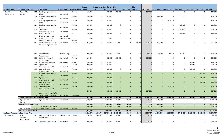|                                            |                                          |     |                                              |                       |                                 | <b>Budget</b> | <b>Expenditure Remaining</b> |                      | $2018 -$       |                      | $2018 -$ |            |                   |              |              |                |                |            |
|--------------------------------------------|------------------------------------------|-----|----------------------------------------------|-----------------------|---------------------------------|---------------|------------------------------|----------------------|----------------|----------------------|----------|------------|-------------------|--------------|--------------|----------------|----------------|------------|
| <b>Program Category</b>                    | <b>Program Name</b> ID                   |     | <b>Project Name</b>                          | <b>Project Status</b> | <b>Financial Status Control</b> |               | <b>PTD</b>                   | <b>Balance</b>       | Local          | 2018 - State Federal |          | 2018 Total | <b>2019 Total</b> | 2020 Total   | 2021 Total   | 2022 Total     | 2023 Total     | 2018-2023  |
| Facilities -                               | Route & Stop                             |     | 521 Bus Stop Improvements-                   |                       | Funded                          | 100,000       | $\mathbf 0$                  | 100,000              | 100,000        | 0                    |          | 100,000    | $\mathbf 0$       | $\mathbf 0$  | $\mathbf 0$  | $\mathbf 0$    | $\mathbf 0$    | 100,000    |
| Passenger &                                | Facility                                 |     | 2018                                         | Not started           |                                 |               |                              |                      |                |                      |          |            |                   |              |              |                |                |            |
|                                            |                                          |     | 522 Bus Stop Improvements-                   |                       | Funded                          | 100,000       | $\mathbf 0$                  | 100,000              | $\Omega$       | $\mathbf 0$          |          |            | 100,000           | $\Omega$     | $\Omega$     | $\Omega$       | $\mathbf 0$    | 100,000    |
|                                            |                                          |     | 2019                                         | Not started           |                                 |               |                              |                      |                |                      |          |            |                   |              |              |                |                |            |
|                                            |                                          | 523 | <b>Bus Stop Improvements-</b><br>2020        |                       | Funded                          | 100,000       | $\mathbf 0$                  | 100,000              | 0              | 0                    |          |            | $\mathbf 0$       | 100,000      | 0            | 0              | $\mathbf 0$    | 100,000    |
|                                            |                                          | 524 | <b>Bus Stop Improvements-</b>                | Not started           | Funded                          |               | $\mathbf 0$                  |                      | $\Omega$       | 0                    |          |            | $\mathbf 0$       | $\mathbf 0$  |              | 0              | $\mathbf 0$    | 100,000    |
|                                            |                                          |     | 2021                                         | Not started           |                                 | 100,000       |                              | 100,000              |                |                      |          |            |                   |              | 100,000      |                |                |            |
|                                            |                                          | 525 | Operational                                  |                       | Funded                          | 200,000       | $\mathbf 0$                  | 200,000              | $\Omega$       | $\mathsf{O}$         |          |            | $\mathbf 0$       | $\mathbf 0$  | 200,000      | 0              | $\mathsf{O}$   | 200,000    |
|                                            |                                          |     | Improvements - 2021                          | Not started           |                                 |               |                              |                      |                |                      |          |            |                   |              |              |                |                |            |
|                                            |                                          |     | 526 Outyear Transit                          |                       | Funded                          | 100,000       | 0                            | 100,000              | 0              | 0                    |          |            | $\mathbf 0$       | 0            | 100,000      | 0              | 0              | 100,000    |
|                                            |                                          |     | Enhancements - 2021                          | Not started           |                                 |               |                              |                      |                |                      |          |            |                   |              |              |                |                |            |
|                                            |                                          | 548 | Indiana East of Pines                        | Work in progre        |                                 | 70,000        | 0                            | 70,000               | 0              | 0                    |          |            | $\mathbf 0$       | $\Omega$     | $\Omega$     | 0              | 0              |            |
|                                            |                                          |     | Sidewalk Extention                           |                       | Funded                          |               |                              |                      |                |                      |          |            |                   |              |              |                |                |            |
|                                            |                                          |     | 550 Trent Avenue and Sunset                  | Not started           | Funded                          | 215,000       | $\mathbf 0$                  | 215,000              | 20,000         | $\mathbf 0$          | 80,000   | 100,000    | 115,000           | $\Omega$     | $\Omega$     | $\Omega$       | $\mathsf{O}$   | 215,000    |
|                                            |                                          |     | <b>Boulevard Improvements</b>                |                       |                                 |               |                              |                      |                |                      |          |            |                   |              |              |                |                |            |
|                                            |                                          |     |                                              |                       |                                 |               |                              |                      |                |                      |          |            |                   |              |              |                |                |            |
|                                            |                                          |     |                                              |                       |                                 |               |                              |                      |                |                      |          |            |                   |              |              |                |                |            |
|                                            |                                          |     |                                              |                       |                                 |               |                              |                      |                |                      |          |            |                   |              |              |                |                |            |
|                                            |                                          |     | 551 Transit Shelter                          | Work in progre        |                                 | 200,000       | $\mathbf 0$                  | 200,000              | 38,500         | 0                    |          | 38,500     | 40,000            | 40,750       | 43,250       | $\Omega$       | 0              | 162,500    |
|                                            |                                          |     | Replacement                                  |                       | Funded                          |               |                              |                      |                |                      |          |            |                   |              |              |                |                |            |
|                                            |                                          |     | 552 University District South                | Not started           | Funded                          | 100,000       | 0                            | 100,000              | 100,000        | 0                    |          | 100,000    | $\mathbf 0$       | $\Omega$     | 0            | 0              | $\mathbf 0$    | 100,000    |
|                                            |                                          |     | <b>Bridge Landing</b>                        |                       |                                 |               |                              |                      |                |                      |          |            |                   |              |              |                |                |            |
|                                            |                                          | 553 | <b>Bus Stop Improvements</b>                 | Not started           | Funded                          | 100,000       | 0                            | 100,000              | $\Omega$       | 0                    |          |            | 0                 | 0            | 0            | 100,000        | 0              | 100,000    |
|                                            |                                          | 554 | Operational                                  |                       | Funded                          | 200,000       | $\mathbf 0$                  | 200,000              | $\Omega$       | $\mathsf{O}$         |          |            | $\Omega$          | $\Omega$     | $\Omega$     | 200,000        | 0              | 200,000    |
|                                            |                                          |     | Improvements - 2022                          | Not started           |                                 |               |                              |                      |                |                      |          |            |                   |              |              |                |                |            |
|                                            |                                          |     | 555 Outyear Transit                          |                       | Funded                          | 100,000       | $\mathbf 0$                  | 100,000              | 0              | $\mathbf 0$          |          |            | 0                 | $\Omega$     | $\Omega$     | 100,000        | $\mathbf 0$    | 100,000    |
|                                            |                                          |     | Enhancements - 2022                          | Not started           |                                 |               |                              |                      |                |                      |          |            |                   |              |              |                |                |            |
|                                            |                                          |     | 571 Bus Stop Improvements-                   |                       | Funded                          | 100,000       | $\mathbf{0}$                 | 100,000              | $\overline{0}$ | $\mathbf{0}$         |          |            | $\mathbf{0}$      | $\mathbf{0}$ | $\mathbf{0}$ | $\Omega$       | 100,000        | 100,000    |
|                                            |                                          |     | 2023                                         | Not started           |                                 |               |                              |                      |                |                      |          |            |                   |              |              |                |                |            |
|                                            |                                          |     | 572 Operational                              |                       | Funded                          | 200,000       | $\mathbf{0}$                 | 200,000              | $\mathbf{0}$   | $\mathbf 0$          |          |            | $\mathbf{0}$      | $\mathbf{0}$ | $\mathbf{0}$ | $\mathbf{0}$   | 200,000        | 200,000    |
|                                            |                                          |     | Improvements - 2023                          | Not started           |                                 |               |                              |                      |                |                      |          |            |                   |              |              |                |                |            |
|                                            |                                          |     | 573 Outyear Transit                          |                       | Funded                          | 100,000       | $\mathbf{0}$                 | 100,000              | $\mathbf{0}$   | $\mathbf{0}$         |          |            | $\mathbf{0}$      | $\Omega$     | $\Omega$     | $\Omega$       | 100,000        | 100,000    |
|                                            |                                          |     | Enhancements - 2023                          | Not started           |                                 |               |                              |                      |                |                      |          |            |                   |              |              |                |                |            |
|                                            |                                          |     | 574 Outyear Transit                          |                       | Funded                          | 100,000       | $\mathbf{0}$                 | 100,000              | $\mathbf{0}$   | $\mathbf{0}$         |          |            | $\mathbf{0}$      | 100,000      | $\mathbf{0}$ | $\overline{0}$ | $\mathbf{0}$   | 100,000    |
|                                            |                                          |     | Enhancements - 2020                          | Not started           |                                 |               |                              |                      |                |                      |          |            |                   |              |              |                |                |            |
|                                            |                                          |     | <b>Greene and Ermina Traffic</b>             |                       |                                 | 667,000       | $\mathbf{0}$                 | 667,000              | 667,000        | $\mathbf 0$          |          | 667,000    | $\mathbf{0}$      | $\mathbf{0}$ | $\mathbf{0}$ | $\mathbf{0}$   | $\mathbf{0}$   | 667,000    |
|                                            |                                          |     | 732 Signal Cooperative Project               | Not started           | Funded-MF                       |               |                              |                      |                |                      |          |            |                   |              |              |                |                |            |
|                                            | Route & Stop Facility Improvements Total |     |                                              |                       |                                 | 8,757,000     | 47,707                       | 8,709,293            | 2,302,793      | $\mathbf{0}$         | 160,000  | 2,462,793  | 1,731,000         | 2,288,750    | 611,250      | 400,000        | 400,000        | 7,893,793  |
|                                            | <b>Upriver Transit</b>                   |     | 475 Upriver Transit Center                   | Not started           | Funded-MF                       | 5,000,000     | $\Omega$                     | 5,000,000            | 717,000        | 250,000              |          | 967,000    | 4,003,000         | $\Omega$     | $\Omega$     | $\Omega$       | $\mathbf 0$    | 4,970,000  |
|                                            | Center                                   |     |                                              |                       |                                 |               |                              |                      |                |                      |          |            |                   |              |              |                |                |            |
|                                            | <b>Upriver Transit Center Total</b>      |     |                                              |                       |                                 | 5,000,000     | $\mathbf{0}$                 | 5,000,000            | 717,000        | 250,000              |          | 967,000    | 4,003,000         | $\mathbf{0}$ | $\mathbf{0}$ | $\mathbf{0}$   | $\bf{0}$       | 4,970,000  |
|                                            |                                          |     | <b>Spokane Falls Community</b>               |                       |                                 | 2,963,000     | $\overline{0}$               | 2,963,000            | 150,000        | 200,000              |          | 350,000    | 2,613,000         | $\mathbf{0}$ | $\mathbf{0}$ | $\overline{0}$ | $\overline{0}$ | 2,963,000  |
|                                            |                                          |     | SFCC Transit Sta 575 College Transit Station | Not started           | Funded                          |               |                              |                      |                |                      |          |            |                   |              |              |                |                |            |
|                                            | <b>SFCC Transit Station Total</b>        |     |                                              |                       |                                 | 2,963,000     |                              | $0$ 2,963,000        | 150,000        | 200,000              |          | 350,000    | 2,613,000         | $\mathbf{0}$ | $\mathbf{0}$ | $\bf{0}$       | $\mathbf{0}$   | 2,963,000  |
| Facilities - Passenger & Operational Total |                                          |     |                                              |                       |                                 | 39,224,672    |                              | 3,469,732 35,754,940 | 3,660,457      | 700,000              | 160,000  | 4,520,457  | 10,262,000        | 2,828,150    | 2,746,450    | 8,916,000      | 3,419,400      | 32,692,457 |
| Technology                                 | <b>Business</b>                          |     | 206 Financial, Budget, HR, &                 | Work in progre Funded |                                 | 1,782,642     | 1,408,679                    | 373,964              | 80,000         | $\mathbf 0$          |          | 80,000     | $\mathbf 0$       | $\mathbf 0$  | $\mathbf 0$  | $\mathbf 0$    | $\mathbf 0$    | 80,000     |
|                                            | Systems                                  |     | Maintenance                                  |                       |                                 |               |                              |                      |                |                      |          |            |                   |              |              |                |                |            |
|                                            | Replacement                              |     |                                              |                       |                                 |               |                              |                      |                |                      |          |            |                   |              |              |                |                |            |
|                                            |                                          |     | 261 Document Management                      | Not started           | Funded                          | 300,000       | $\mathbf{0}$                 | 300,000              | 300,000        | 0                    |          | 300,000    | $\mathbf 0$       | $\mathbf 0$  | $\mathbf{0}$ | $\mathbf 0$    | 0              | 300,000    |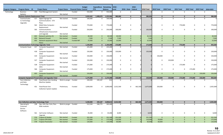| <b>Program Category</b> | <b>Program Name</b> ID                            |            | <b>Project Name</b>                                        | <b>Project Status Financial Status Control</b> |                  | <b>Budget</b>      | <b>Expenditure Remaining</b><br><b>PTD</b> | <b>Balance</b>     | $2018 -$<br>Local       | 2018 - State Federal       | $2018 -$ | 2018 Total | <b>2019 Total</b> | 2020 Total                                     | 2021 Total                 | 2022 Total             | <b>2023 Total</b>                         | 2018-2023           |
|-------------------------|---------------------------------------------------|------------|------------------------------------------------------------|------------------------------------------------|------------------|--------------------|--------------------------------------------|--------------------|-------------------------|----------------------------|----------|------------|-------------------|------------------------------------------------|----------------------------|------------------------|-------------------------------------------|---------------------|
| Technology              | <b>Business</b><br>Systems                        |            | 459 Fluid Management System                                | Not started                                    | Funded           | 550,000            | $\mathbf 0$                                | 550,000            | $\mathbf{0}$            | $\mathbf 0$                |          |            |                   | $\mathbf 0$<br>0                               | $\mathbf 0$                |                        | 0<br>$\mathbf 0$                          | 0                   |
|                         | <b>Business Systems Replacement Total</b>         |            |                                                            |                                                |                  | 2,632,642          | 1,408,679                                  | 1,223,964          | 380,000                 | $\mathbf{0}$               |          | 380,000    |                   | $\mathbf{0}$<br>$\mathbf{0}$                   | $\mathbf{0}$               | $\mathbf{0}$           | $\mathbf 0$                               | 380,000             |
|                         | Communicatio<br>ns Technology<br>Upgrades         |            | 517 Digital Signage for<br>Communications - STA<br>Plaza   | Not started                                    | Funded           | 100,000            | $\mathbf{0}$                               | 100,000            | $\mathbf{0}$            | $\mathbf 0$                |          |            |                   | $\Omega$<br>$\mathbf 0$                        | $\mathbf 0$                |                        | $\mathbf 0$<br>$\mathbf 0$                | $\Omega$            |
|                         |                                                   | 562        | Mobil Data Computer -<br>Replacement                       | Not started                                    | Funded           | 770,000            | $\mathbf{0}$                               | 770,000            | 0                       | 0                          |          |            |                   | $\mathbf 0$<br>0                               | 770,000                    | 0                      | 0                                         | 770,000             |
|                         |                                                   | 565        | Communications<br>Infrastructure Assessment<br>and Upgrade | Not started                                    | Funded           | 250,000            | $\mathbf 0$                                | 250,000            | 100,000                 | $\mathbf 0$                |          | 100,000    |                   | $\mathbf 0$<br>$\mathbf 0$                     | 0                          | 0                      | $\mathbf 0$                               | 100,000             |
|                         |                                                   |            | 602 Network switches (5)                                   | Not started                                    | Funded           | 40,500             | $\overline{0}$                             | 40,500             | 40,500                  | $\mathbf{0}$               |          | 40,500     |                   | $\overline{0}$<br>$\mathbf{0}$                 | $\mathbf{0}$               | $\mathbf{0}$           | $\mathbf{0}$                              | 40,500              |
|                         |                                                   | 604        | Network firewall                                           | Not started                                    | Funded           | 7,500              | $\mathbf{0}$                               | 7,500              | 7,500                   | $\mathbf 0$                |          | 7,500      |                   | $\mathbf{0}$<br>$\mathbf{0}$                   | $\mathbf{0}$               | $\Omega$               | $\mathbf{0}$                              | 7,500               |
|                         |                                                   | 605        | Network equipment-West<br>Plains                           | Not started                                    | Funded-MF        | 25,000             | $\mathbf{0}$                               | 25,000             | 25,000                  | $\mathbf{0}$               |          | 25,000     |                   | $\Omega$<br>$\mathbf{0}$                       | $\mathbf{0}$               | $\mathbf{0}$           | $\mathbf{0}$                              | 25,000              |
|                         | <b>Communications Technology Upgrades Total</b>   |            |                                                            |                                                |                  | 1,193,000          | $\mathbf{0}$                               | 1,193,000          | 173,000                 | $\mathbf{0}$               |          | 173,000    |                   | $\mathbf{0}$<br>$\mathbf{0}$                   | 770,000                    | $\Omega$               | $\mathbf{0}$                              | 943,000             |
|                         | Computer Equip                                    | 417<br>418 | Computer Equipment-<br>2017<br>Computer Equipment-         | Not started                                    | Funded<br>Funded | 225,000<br>150,000 | $\mathbf 0$<br>0                           | 225,000<br>150,000 | $\mathbf{0}$<br>150,000 | $\mathbf 0$<br>$\mathbf 0$ |          | 150,000    |                   | $\Omega$<br>$\mathbf 0$<br>$\mathbf 0$<br>0    | $\mathbf 0$<br>$\mathbf 0$ | $\mathbf 0$            | $\mathbf 0$<br>$\mathbf 0$<br>$\mathbf 0$ | $\Omega$<br>150,000 |
|                         |                                                   | 419        | 2018<br>Computer Equipment-                                | Not started                                    | Funded           | 150,000            | $\mathbf{0}$                               | 150,000            | 0                       | 0                          |          |            | 150,000           | 0                                              | 0                          | 0                      | $\mathbf 0$                               | 150,000             |
|                         |                                                   |            | 2019                                                       | Not started                                    |                  |                    |                                            |                    |                         |                            |          |            |                   |                                                |                            |                        |                                           |                     |
|                         |                                                   | 527        | Computer Equipment -<br>2020                               | Not started                                    | Funded           | 150,000            | $\mathbf{0}$                               | 150,000            | $\mathbf 0$             | $\mathbf 0$                |          |            |                   | 150,000<br>0                                   | $\mathbf 0$                | 0                      | $\mathbf 0$                               | 150,000             |
|                         |                                                   | 528<br>566 | Computer Equipment -<br>2021<br>Computer Equipment -       | Not started                                    | Funded<br>Funded | 175,000<br>175,000 | $\mathbf{0}$<br>$\mathbf{0}$               | 175,000<br>175,000 | 0<br>0                  | $\mathbf 0$<br>$\mathbf 0$ |          |            |                   | $\mathbf 0$<br>$\mathbf 0$<br>$\mathbf 0$<br>0 | 175,000<br>0               | $\mathbf 0$<br>175,000 | $\mathbf 0$<br>$\mathbf 0$                | 175,000<br>175,000  |
|                         |                                                   |            | 2022<br>603 Computer Equipment-                            | Not started                                    |                  | 150,000            | $\overline{0}$                             | 150,000            | $\mathbf{0}$            | $\mathbf{0}$               |          |            |                   | $\mathbf{0}$<br>$\Omega$                       | $\mathbf{0}$               | $\mathbf{0}$           | 150,000                                   | 150,000             |
|                         |                                                   |            | 2023                                                       | Not started                                    | Funded           |                    |                                            |                    |                         |                            |          |            |                   |                                                |                            |                        |                                           |                     |
|                         |                                                   |            | <b>Computer Equipment Preservation and Upgrades Total</b>  |                                                |                  | 1,175,000          | $\mathbf{0}$                               | 1,175,000          | 150,000                 | $\mathbf{0}$               |          | 150,000    | 150,000           | 150,000                                        | 175,000                    | 175,000                | 150,000                                   | 950,000             |
|                         | <b>Fare Collection</b><br>and Sales<br>Technology | 430        | <b>Fixed Route Fare Vending</b><br>Machine Update          | Work in progre Funded                          |                  | 240,000            | 239,187                                    | 813                | $\mathbf 0$             | $\mathbf 0$                |          |            |                   | $\Omega$<br>$\mathbf 0$                        | $\Omega$                   | $\mathbf{0}$           | $\mathbf 0$                               | $\mathbf 0$         |
|                         |                                                   |            | 431 Fixed Route Fare<br><b>Collection System Update</b>    | Preliminary                                    | Funded           | 3,000,000          | $\mathbf 0$                                | 3,000,000          | 2,012,500               | $\mathbf 0$                | 662,500  | 2,675,000  | 250,000           | 0                                              | 0                          | 0                      | $\Omega$                                  | 2,925,000           |
|                         |                                                   |            |                                                            |                                                |                  |                    |                                            |                    |                         |                            |          |            |                   |                                                |                            |                        |                                           |                     |
|                         | <b>Fare Collection and Sales Technology Total</b> |            |                                                            |                                                |                  | 3,240,000          | 239,187                                    | 3,000,813          | 2,012,500               | $\mathbf{0}$               | 662,500  | 2,675,000  | 250,000           | $\mathbf{0}$                                   | $\mathbf{0}$               |                        | $\mathbf{0}$<br>$\mathbf 0$               | 2,925,000           |
|                         | Operating &<br>Customer<br>Service<br>Software    |            | 238 Ops, Info Pub, Com, Pass<br>Web modules                | Work in progre Funded                          |                  | 512,244            | 246,775                                    | 265,469            | $\Omega$                | 0                          |          |            |                   | $\mathbf 0$<br>0                               | $\mathsf{O}$               | $\mathbf{0}$           | $\Omega$                                  | $\mathbf 0$         |
|                         |                                                   |            | 561 Call Center Software<br>Upgrade                        | Not started                                    | Funded           | 35,000             | $\mathbf 0$                                | 35,000             | 8,000                   | $\mathbf 0$                |          | 8,000      |                   | $\mathbf 0$<br>$\mathsf{O}$                    | $\mathbf 0$                | $\mathbf 0$            | $\mathsf{O}$                              | 8,000               |
|                         |                                                   |            | 576 Trapeze EZ Wallet                                      | Not started                                    | Funded           | 331,500            | $\mathbf{0}$                               | 331,500            | 331,500                 | $\mathbf{0}$               |          | 331,500    |                   | $\mathbf{0}$<br>$\mathbf{0}$                   | $\mathbf{0}$               | $\mathbf{0}$           | $\mathbf{0}$                              | 331,500             |
|                         |                                                   |            | 577 Trapeze OPS-Web                                        | Not started                                    | Funded           | 175,000            | $\mathbf{0}$                               | 175,000            | 116,000                 | $\mathbf 0$                |          | 116,000    | 59,000            | $\mathbf{0}$                                   | $\mathbf{0}$               | $\mathbf{0}$           | $\mathbf{0}$                              | 175,000             |
|                         |                                                   |            | 578 Trapeze ParaCutter                                     | Not started                                    | Funded           | 120,000            | $\mathbf{0}$                               | 120,000            | 60,000                  | $\mathbf{0}$               |          | 60,000     | 60,000            | $\mathbf{0}$                                   | $\mathbf{0}$               | $\mathbf{0}$           | $\mathbf{0}$                              | 120,000             |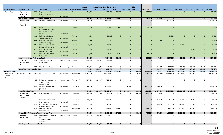| <b>Program Category</b>                       | <b>Program Name</b> ID                                 |     | <b>Project Name</b>                                   | <b>Project Status Financial Status Control</b> |           | <b>Budget</b> | <b>Expenditure Remaining</b><br><b>PTD</b> | <b>Balance</b>       | $ 2018 -$<br>Local | 2018 - State Federal | $2018 -$ | 2018 Total | 2019 Total | 2020 Total                   | 2021 Total   |              | 2022 Total 2023 Total | 2018-2023   |
|-----------------------------------------------|--------------------------------------------------------|-----|-------------------------------------------------------|------------------------------------------------|-----------|---------------|--------------------------------------------|----------------------|--------------------|----------------------|----------|------------|------------|------------------------------|--------------|--------------|-----------------------|-------------|
| Technology                                    | Operating &                                            |     | 579 Trapeze ViewPoint -                               |                                                | Funded    | 220,000       | $\mathbf{0}$                               | 220,000              | 220,000            | $\mathbf{0}$         |          | 220,000    |            | $\mathbf{0}$<br>$\mathbf{0}$ | $\mathbf 0$  | $\mathbf{0}$ | $\mathbf{0}$          | 220,000     |
|                                               | Customer                                               |     | <b>Business Intelligence</b>                          |                                                |           |               |                                            |                      |                    |                      |          |            |            |                              |              |              |                       |             |
|                                               | Service                                                |     | Solution                                              | Not started                                    |           |               |                                            |                      |                    |                      |          |            |            |                              |              |              |                       |             |
|                                               | <b>Operating &amp; Customer Service Software Total</b> |     |                                                       |                                                |           | 1,393,744     | 246,775                                    | 1,146,969            | 735,500            | $\mathbf 0$          |          | 735,500    | 119,000    | $\mathbf{0}$                 | $\mathbf{0}$ | $\mathbf{0}$ | $\mathbf{0}$          | 854,500     |
|                                               | Security and                                           |     | 468 OnBoard Camera Upgrade                            | Not started                                    | Funded    | 4,000,000     | $\Omega$                                   | 4,000,000            | $\Omega$           | $\Omega$             |          |            |            | 4,000,000<br>$\Omega$        | $\Omega$     | $\Omega$     | $\mathbf 0$           | 4,000,000   |
|                                               | Access                                                 |     |                                                       |                                                |           |               |                                            |                      |                    |                      |          |            |            |                              |              |              |                       |             |
|                                               | Technology                                             |     |                                                       |                                                |           |               |                                            |                      |                    |                      |          |            |            |                              |              |              |                       |             |
|                                               |                                                        |     | 600 Driver's                                          |                                                | Funded    | 25,000        | $\Omega$                                   | 25,000               | 25,000             | $\Omega$             |          | 25,000     |            | $\Omega$<br>$\Omega$         | $\Omega$     | $\Omega$     | $\Omega$              | 25,000      |
|                                               |                                                        |     | Room/Administrative                                   |                                                |           |               |                                            |                      |                    |                      |          |            |            |                              |              |              |                       |             |
|                                               |                                                        |     | <b>Area Access Control</b>                            |                                                |           |               |                                            |                      |                    |                      |          |            |            |                              |              |              |                       |             |
|                                               |                                                        |     | Project                                               | Not started                                    |           |               |                                            |                      |                    |                      |          |            |            |                              |              |              |                       |             |
|                                               |                                                        |     | 601 Park and Ride Camera                              |                                                | Funded    | 59,500        | $\mathbf{0}$                               | 59,500               | $\Omega$           | $\mathbf{0}$         |          |            |            | 59,500<br>$\Omega$           | $\mathbf{0}$ | $\Omega$     | $\mathbf{0}$          | 59,500      |
|                                               |                                                        |     | System - Five Mile                                    | Not started                                    |           |               |                                            |                      |                    |                      |          |            |            |                              |              |              |                       |             |
|                                               |                                                        |     | 608 Park and Ride Camera                              |                                                | Funded    | 71,500        | $\mathbf{0}$                               | 71,500               | $\Omega$           | $\overline{0}$       |          |            | 71,500     | $\mathbf{0}$                 | $\Omega$     | $\Omega$     | $\mathbf{0}$          | 71,500      |
|                                               |                                                        |     | System - Hastings                                     | Not started                                    |           |               |                                            |                      |                    |                      |          |            |            |                              |              |              |                       |             |
|                                               |                                                        |     | 609 Park and Ride Camera                              |                                                | Funded    | 85,900        | $\mathbf{0}$                               | 85,900               | $\mathbf{0}$       | $\overline{0}$       |          |            |            | $\mathbf{0}$<br>$\Omega$     | 85,900       | $\mathbf{0}$ | $\mathbf 0$           | 85,900      |
|                                               |                                                        |     | System - Liberty Lake                                 | Not started                                    |           |               |                                            |                      |                    |                      |          |            |            |                              |              |              |                       |             |
|                                               |                                                        |     | 610 Park and Ride Camera                              |                                                | Funded    | 74,600        | $\mathbf{0}$                               | 74,600               | $\mathbf{0}$       | $\overline{0}$       |          |            |            | $\Omega$<br>$\mathbf{0}$     | $\mathbf{0}$ | 74,600       | $\mathbf 0$           | 74,600      |
|                                               |                                                        |     | System - South Hill                                   | Not started                                    |           |               |                                            |                      |                    |                      |          |            |            |                              |              |              |                       |             |
|                                               |                                                        |     | 611 Park and Ride Camera                              |                                                | Funded    | 78,100        | $\mathbf{0}$                               | 78,100               | 78,100             | $\overline{0}$       |          | 78,100     |            | $\mathbf{0}$<br>$\Omega$     | $\mathbf{0}$ | $\Omega$     | $\mathbf{0}$          | 78,100      |
|                                               |                                                        |     | System - Mirabeau                                     | Not started                                    |           |               |                                            |                      |                    |                      |          |            |            |                              |              |              |                       |             |
|                                               | <b>Security and Access Technology Total</b>            |     |                                                       |                                                |           | 4,394,600     | $\mathbf{0}$                               | 4,394,600            | 103,100            | $\mathbf 0$          |          | 103,100    | 71,500     | 4,059,500                    | 85,900       | 74,600       | $\mathbf 0$           | 4,394,600   |
|                                               | Smart Bus                                              | 237 | Smart Bus CAD/AVL                                     | Work in progre Funded                          |           | 6,850,000     | 6,809,519                                  | 40,483               | $\Omega$           | $\mathbf 0$          |          |            |            | $\Omega$<br>$\mathbf 0$      | $\mathbf 0$  | $\Omega$     | $\mathbf 0$           |             |
|                                               | Implementatio                                          |     | Implementation                                        |                                                |           |               |                                            |                      |                    |                      |          |            |            |                              |              |              |                       |             |
|                                               | n                                                      |     |                                                       |                                                |           |               |                                            |                      |                    |                      |          |            |            |                              |              |              |                       |             |
|                                               |                                                        |     | 336 Fiber Communications                              | Work in progre Funded                          |           | 869,528       | 27,755                                     | 841,773              | $\mathbf 0$        | $\mathbf 0$          |          |            | 141,773    | 100,000                      | 100,000      | 100,000      | 100,000               | 541,773     |
|                                               | <b>Smart Bus Implementation Total</b>                  |     |                                                       |                                                |           | 7,719,528     | 6,837,274                                  | 882,254              | $\mathbf{0}$       | $\mathbf 0$          |          |            | 141,773    | 100,000                      | 100,000      | 100,000      | 100,000               | 541,773     |
| <b>Technology Total</b>                       |                                                        |     |                                                       |                                                |           | 21,748,514    |                                            | 8,731,914 13,016,600 | 3,554,100          | $\mathbf 0$          | 662,500  | 4,216,600  | 732,273    | 4,309,500                    | 1,130,900    | 349,600      | 250,000               | 10,988,873  |
| High Performance<br>Transit<br>Implementation | Central City Line                                      |     | 347 Design and Construction                           | Not started                                    | Funded-MF | 65,425,000    |                                            | 0 65,425,000         | $\mathbf 0$        | $\mathbf 0$          | 780,000  | 780,000    | 13,373,500 | 20,995,500                   | 29,276,000   | 1,000,000    | $\mathbf 0$           | 65,425,000  |
|                                               |                                                        |     | 435 Preliminary Engineering<br>and Environmental      | Work in progre Funded-MF                       |           | 1,875,000     | 1,146,076                                  | 728,924              | $\Omega$           | $\Omega$             |          |            |            | $\mathbf 0$<br>$\Omega$      | 0            | $\Omega$     | 0                     |             |
|                                               |                                                        |     | Review (Phase C)                                      |                                                |           |               |                                            |                      |                    |                      |          |            |            |                              |              |              |                       |             |
|                                               |                                                        |     | 546 Project Development                               | Not started                                    | Funded-MF | 4,700,000     |                                            | $0\quad 4,700,000$   | 0                  | 2,800,000            |          | 2,800,000  | 500,000    | $\mathbf 0$                  | 0            | $\mathbf 0$  | 0                     | 3,300,000   |
|                                               |                                                        |     | (Phase D)                                             |                                                |           |               |                                            |                      |                    |                      |          |            |            |                              |              |              |                       |             |
|                                               | <b>Central City Line Total</b>                         |     |                                                       |                                                |           | 72,000,000    |                                            | 1,146,076 70,853,924 | $\mathbf{0}$       | 2,800,000            | 780,000  | 3,580,000  | 13,873,500 | 20,995,500                   | 29,276,000   | 1,000,000    | $\mathbf{0}$          | 68,725,000  |
|                                               | Cheney High                                            |     | 465 Four Lakes Station                                | Not started                                    | Funded-MF | 390,500       | 608                                        | 389,892              | 79,232             | $\Omega$             | 200,768  | 280,000    | 70,500     | $\mathbf 0$                  | $\Omega$     | $\mathbf 0$  | 0                     | 350,500     |
|                                               | Performance<br>Transit                                 |     |                                                       |                                                |           |               |                                            |                      |                    |                      |          |            |            |                              |              |              |                       |             |
|                                               |                                                        |     | 473 Elm Street Station and                            |                                                | Funded-MF | 800,000       | $\Omega$                                   | 800,000              | $\Omega$           | $\Omega$             |          |            | 158,000    | 245,000                      | 353,000      | 44,000       | $\mathbf 0$           | 800,000     |
|                                               |                                                        |     | Improvements                                          | Not started                                    |           |               |                                            |                      |                    |                      |          |            |            |                              |              |              |                       |             |
|                                               |                                                        |     | 474 Jefferson Station Bus way                         |                                                | Funded-MF | 725,000       | 0                                          | 725,000              | 0                  | 0                    |          |            | 144,000    | 222,000                      | 320,000      | 39,000       | 0                     | 725,000     |
|                                               |                                                        |     | and Facility Upgrades                                 | Not started                                    |           |               |                                            |                      |                    |                      |          |            |            |                              |              |              |                       |             |
|                                               |                                                        |     | 476 SR 904 Station and                                |                                                | Funded-MF | 1,986,000     |                                            | 0 1,986,000          | 155,000            | 0                    |          | 155,000    |            | 871,000<br>$\Omega$          | 920,000      | 40,000       | 0                     | 1,986,000   |
|                                               |                                                        |     | Improvements                                          | Not started                                    |           |               |                                            |                      |                    |                      |          |            |            |                              |              |              |                       |             |
|                                               |                                                        |     | <b>Cheney High Performance Transit Corridor Total</b> |                                                |           | 3,901,500     | 608                                        | 3,900,892            | 234,232            | $\mathbf 0$          | 200,768  | 435,000    | 372,500    | 1,338,000                    | 1,593,000    | 123,000      | $\mathbf{0}$          | 3,861,500   |
|                                               | <b>HPT Program</b>                                     | 427 | <b>HPT Passenger Facilities</b>                       | Work in progre Funded                          |           | 618,750       | 567,894                                    | 50,856               | $\mathbf 0$        | $\mathbf 0$          |          |            |            | $\Omega$<br>$\mathbf 0$      | $\mathbf{0}$ | $\mathbf 0$  | $\mathbf 0$           |             |
|                                               | Development                                            |     | Design and                                            |                                                |           |               |                                            |                      |                    |                      |          |            |            |                              |              |              |                       |             |
|                                               |                                                        |     | Communications                                        |                                                |           |               |                                            |                      |                    |                      |          |            |            |                              |              |              |                       |             |
|                                               |                                                        |     | Standards                                             |                                                |           |               |                                            |                      |                    |                      |          |            |            |                              |              |              |                       |             |
|                                               | <b>HPT Program Development Total</b>                   |     |                                                       |                                                |           | 618,750       | 567,894                                    | 50,856               | $\mathbf 0$        | $\mathbf 0$          |          |            |            | $\mathbf 0$<br>$\mathbf{0}$  | $\bf{0}$     | $\mathbf{0}$ | $\mathbf{0}$          | $\mathbf 0$ |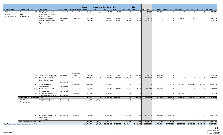|                                                      |                                          |     |                                                                |             |                                                | <b>Budget</b>        | <b>Expenditure Remaining</b> |                      | $ 2018 -$                      |                      | $2018 -$  |                     |                      |            |                                      |                  |                      |                      |
|------------------------------------------------------|------------------------------------------|-----|----------------------------------------------------------------|-------------|------------------------------------------------|----------------------|------------------------------|----------------------|--------------------------------|----------------------|-----------|---------------------|----------------------|------------|--------------------------------------|------------------|----------------------|----------------------|
| Program Category Program Name ID                     |                                          |     | <b>Project Name</b>                                            |             | <b>Project Status Financial Status Control</b> |                      | <b>PTD</b>                   | <b>Balance</b>       | Local                          | 2018 - State Federal |           | <b>2018 Total</b>   | <b>2019 Total</b>    | 2020 Total | 2021 Total                           | 2022 Total       | 2023 Total 2018-2023 |                      |
| High Performance<br>Transit                          | Incremental<br><b>HPT</b>                | 467 | 29th/Regal Intersection<br>Improvements - Design               | Not started | Funded-MF                                      | 551,120              | 5,120                        | 546,000              | 45,000                         | $\mathbf 0$          |           | 45,000              | 501,000              |            | $\mathbf 0$<br>$\mathbf 0$           | $\mathbf 0$      | $\mathbf 0$          | 546,000              |
| Implementation                                       | Investments                              |     | and Construction                                               |             |                                                |                      |                              |                      |                                |                      |           |                     |                      |            |                                      |                  |                      |                      |
|                                                      |                                          |     | 470 Plaza HPT Platforms                                        | Not started | Funded-MF                                      | 1,545,000            |                              | 0 1,545,000          | 299,000                        | $\mathbf 0$          |           | 299,000             | 0                    |            | 1,158,750<br>$\mathbf 0$             | 77,250           | $\mathbf 0$          | 1,535,000            |
|                                                      |                                          | 472 | Division Passenger and                                         | Design      |                                                | 2,000,000            |                              | $0\qquad 2,000,000$  | 401,500                        | 220,000              | 778,500   | 1,400,000           | $\mathbf 0$          |            | $\mathbf 0$<br>$\mathbf 0$           | $\mathbf 0$      | $\mathbf 0$          | 1,400,000            |
|                                                      |                                          |     | <b>Operational Treatments</b>                                  |             |                                                |                      |                              |                      |                                |                      |           |                     |                      |            |                                      |                  |                      |                      |
|                                                      |                                          |     |                                                                |             |                                                |                      |                              |                      |                                |                      |           |                     |                      |            |                                      |                  |                      |                      |
|                                                      |                                          |     |                                                                |             |                                                |                      |                              |                      |                                |                      |           |                     |                      |            |                                      |                  |                      |                      |
|                                                      |                                          |     |                                                                |             |                                                |                      |                              |                      |                                |                      |           |                     |                      |            |                                      |                  |                      |                      |
|                                                      |                                          |     |                                                                |             |                                                |                      |                              |                      |                                |                      |           |                     |                      |            |                                      |                  |                      |                      |
|                                                      |                                          |     |                                                                |             |                                                |                      |                              |                      |                                |                      |           |                     |                      |            |                                      |                  |                      |                      |
|                                                      |                                          |     |                                                                |             |                                                |                      |                              |                      |                                |                      |           |                     |                      |            |                                      |                  |                      |                      |
|                                                      |                                          |     |                                                                |             |                                                |                      |                              |                      |                                |                      |           |                     |                      |            |                                      |                  |                      |                      |
|                                                      |                                          |     |                                                                |             |                                                |                      |                              |                      |                                |                      |           |                     |                      |            |                                      |                  |                      |                      |
|                                                      |                                          |     |                                                                |             |                                                |                      |                              |                      |                                |                      |           |                     |                      |            |                                      |                  |                      |                      |
|                                                      |                                          |     |                                                                |             |                                                |                      |                              |                      |                                |                      |           |                     |                      |            |                                      |                  |                      |                      |
|                                                      |                                          |     |                                                                |             |                                                |                      |                              |                      |                                |                      |           |                     |                      |            |                                      |                  |                      |                      |
|                                                      |                                          |     |                                                                |             |                                                |                      |                              |                      |                                |                      |           |                     |                      |            |                                      |                  |                      |                      |
|                                                      |                                          |     |                                                                |             |                                                |                      |                              |                      |                                |                      |           |                     |                      |            |                                      |                  |                      |                      |
|                                                      |                                          |     |                                                                |             |                                                |                      |                              |                      |                                |                      |           |                     |                      |            |                                      |                  |                      |                      |
|                                                      |                                          |     |                                                                |             |                                                |                      |                              |                      |                                |                      |           |                     |                      |            |                                      |                  |                      |                      |
|                                                      |                                          |     |                                                                |             |                                                |                      |                              |                      |                                |                      |           |                     |                      |            |                                      |                  |                      |                      |
|                                                      |                                          |     |                                                                |             |                                                |                      |                              |                      |                                |                      |           |                     |                      |            |                                      |                  |                      |                      |
|                                                      |                                          |     |                                                                |             |                                                |                      |                              |                      |                                |                      |           |                     |                      |            |                                      |                  |                      |                      |
|                                                      |                                          |     |                                                                |             |                                                |                      |                              |                      |                                |                      |           |                     |                      |            |                                      |                  |                      |                      |
|                                                      |                                          |     |                                                                |             |                                                |                      |                              |                      |                                |                      |           |                     |                      |            |                                      |                  |                      |                      |
|                                                      |                                          |     |                                                                |             | Funded-MF                                      |                      |                              |                      |                                |                      |           |                     |                      |            |                                      |                  |                      |                      |
|                                                      |                                          | 478 | Division HPT Design Study<br>479 Monroe-Regal Shelter and      | Not started | Funded<br>Funded-MF                            | 500,000<br>4,270,250 | 0<br>348                     | 500,000<br>4,269,902 | 10,000<br>850,000              | 0<br>1,350,000       | 50,000    | 60,000<br>2,200,000 | 440,000<br>1,849,902 |            | 0<br>0<br>$\mathbf 0$<br>$\mathbf 0$ | 0<br>$\mathbf 0$ | 0<br>$\mathbf 0$     | 500,000<br>4,049,902 |
|                                                      |                                          |     | <b>Stop Enhancements</b>                                       |             |                                                |                      |                              |                      |                                |                      |           |                     |                      |            |                                      |                  |                      |                      |
|                                                      |                                          |     |                                                                | Not started |                                                |                      |                              |                      |                                |                      |           |                     |                      |            |                                      |                  |                      |                      |
|                                                      |                                          | 540 | Sprague HPT Lite                                               |             | Funded-MF                                      | 6,556,000            |                              | 0 6,556,000          | $\Omega$                       | 0                    |           |                     | $\Omega$             | 500,000    | 850,000                              | 2,406,000        | 2,600,000            | 6,356,000            |
|                                                      |                                          |     | Improvements                                                   | Not started |                                                |                      |                              |                      |                                |                      |           |                     |                      |            |                                      |                  |                      |                      |
|                                                      |                                          |     | 543 North Monroe Bus Stop                                      |             | Funded-MF                                      | 620,187              | $\mathbf{0}$                 | 620,187              | 54,000                         | 62,594               | 379,555   | 496,149             | 124,038              |            | $\mathbf 0$<br>$\mathbf 0$           | $\mathbf 0$      | $\mathbf 0$          | 620,187              |
|                                                      |                                          |     | Infrastructure                                                 | Not started |                                                |                      |                              |                      |                                |                      |           |                     |                      |            |                                      |                  |                      |                      |
|                                                      |                                          |     | 545 Preliminary Engineering I-                                 |             | Funded-MF                                      | 812,500              | $\mathbf{0}$                 | 812,500              | 0                              | 0                    |           |                     | 0                    | 362,500    | 450,000                              | $\mathbf 0$      | $\mathbf 0$          | 812,500              |
|                                                      | <b>Incremental HPT Investments Total</b> |     | 90 HPT Corridor Facilities                                     | Not started |                                                | 16,855,057           | 5,468                        | 16,849,589           | 1,659,500                      | 1,632,594            | 1,208,055 | 4,500,149           | 2,914,940            | 862,500    | 2,458,750                            | 2,483,250        | 2,600,000            | 15,819,589           |
|                                                      | <b>West Plains</b>                       |     | 438 Design and Engineering                                     |             | Work in progre Funded-MF                       | 2,662,393            | 2,089,664                    | 572,729              | $\mathbf 0$                    | $\mathbf 0$          |           |                     | $\mathbf{0}$         |            | $\mathbf 0$<br>$\mathbf 0$           | $\mathbf 0$      | $\mathbf 0$          | 0                    |
|                                                      | <b>Transit Center</b>                    |     |                                                                |             |                                                |                      |                              |                      |                                |                      |           |                     |                      |            |                                      |                  |                      |                      |
|                                                      |                                          |     |                                                                |             |                                                |                      |                              |                      |                                |                      |           |                     |                      |            |                                      |                  |                      |                      |
|                                                      |                                          |     |                                                                |             |                                                |                      |                              |                      |                                |                      |           |                     |                      |            |                                      |                  |                      |                      |
|                                                      |                                          |     |                                                                |             |                                                |                      |                              |                      |                                |                      |           |                     |                      |            |                                      |                  |                      |                      |
|                                                      |                                          |     |                                                                |             |                                                |                      |                              |                      |                                |                      |           |                     |                      |            |                                      |                  |                      |                      |
|                                                      |                                          |     |                                                                |             |                                                |                      |                              |                      |                                |                      |           |                     |                      |            |                                      |                  |                      |                      |
|                                                      |                                          |     | 503 West Plains Transit Center Not started<br>- Final Design & |             | Funded-MF                                      | 7,708,000            |                              | 0 7,708,000          | $\mathbf 0$                    | 3,207,500            | 473,000   | 3,680,500           | 560,500              | 250,000    | $\mathbf 0$                          | $\mathbf 0$      | $\mathbf 0$          | 4,491,000            |
|                                                      |                                          |     | Construction                                                   |             |                                                |                      |                              |                      |                                |                      |           |                     |                      |            |                                      |                  |                      |                      |
|                                                      | <b>West Plains Transit Center Total</b>  |     |                                                                |             |                                                | 10,370,393           | 2,089,664                    | 8,280,729            | $\mathbf{0}$                   | 3,207,500            | 473,000   | 3,680,500           | 560,500              | 250,000    | $\mathbf{0}$                         | $\mathbf{0}$     | $\mathbf{0}$         | 4,491,000            |
| <b>High Performance Transit Implementation Total</b> |                                          |     |                                                                |             |                                                | 103,745,700          |                              |                      | 3,809,710 99,935,990 1,893,732 | 7,640,094            | 2,661,823 | 12,195,649          | 17,721,440           | 23,446,000 | 33,327,750                           |                  | 3,606,250 2,600,000  | 92,897,089           |